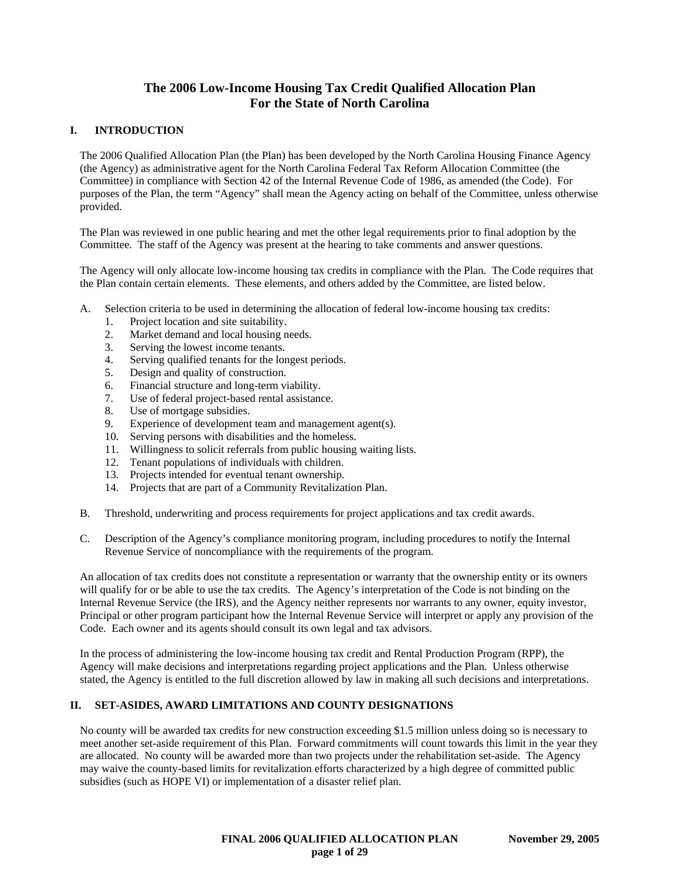# **The 2006 Low-Income Housing Tax Credit Qualified Allocation Plan For the State of North Carolina**

## **I. INTRODUCTION**

The 2006 Qualified Allocation Plan (the Plan) has been developed by the North Carolina Housing Finance Agency (the Agency) as administrative agent for the North Carolina Federal Tax Reform Allocation Committee (the Committee) in compliance with Section 42 of the Internal Revenue Code of 1986, as amended (the Code). For purposes of the Plan, the term "Agency" shall mean the Agency acting on behalf of the Committee, unless otherwise provided.

The Plan was reviewed in one public hearing and met the other legal requirements prior to final adoption by the Committee. The staff of the Agency was present at the hearing to take comments and answer questions.

The Agency will only allocate low-income housing tax credits in compliance with the Plan. The Code requires that the Plan contain certain elements. These elements, and others added by the Committee, are listed below.

- A. Selection criteria to be used in determining the allocation of federal low-income housing tax credits:
	- 1. Project location and site suitability.
	- 2. Market demand and local housing needs.
	- 3. Serving the lowest income tenants.
	- 4. Serving qualified tenants for the longest periods.
	- 5. Design and quality of construction.
	- 6. Financial structure and long-term viability.
	- 7. Use of federal project-based rental assistance.
	- 8. Use of mortgage subsidies.
	- 9. Experience of development team and management agent(s).
	- 10. Serving persons with disabilities and the homeless.
	- 11. Willingness to solicit referrals from public housing waiting lists.
	- 12. Tenant populations of individuals with children.
	- 13. Projects intended for eventual tenant ownership.
	- 14. Projects that are part of a Community Revitalization Plan.
- B. Threshold, underwriting and process requirements for project applications and tax credit awards.
- C. Description of the Agency's compliance monitoring program, including procedures to notify the Internal Revenue Service of noncompliance with the requirements of the program.

An allocation of tax credits does not constitute a representation or warranty that the ownership entity or its owners will qualify for or be able to use the tax credits. The Agency's interpretation of the Code is not binding on the Internal Revenue Service (the IRS), and the Agency neither represents nor warrants to any owner, equity investor, Principal or other program participant how the Internal Revenue Service will interpret or apply any provision of the Code. Each owner and its agents should consult its own legal and tax advisors.

In the process of administering the low-income housing tax credit and Rental Production Program (RPP), the Agency will make decisions and interpretations regarding project applications and the Plan. Unless otherwise stated, the Agency is entitled to the full discretion allowed by law in making all such decisions and interpretations.

## **II. SET-ASIDES, AWARD LIMITATIONS AND COUNTY DESIGNATIONS**

No county will be awarded tax credits for new construction exceeding \$1.5 million unless doing so is necessary to meet another set-aside requirement of this Plan. Forward commitments will count towards this limit in the year they are allocated. No county will be awarded more than two projects under the rehabilitation set-aside. The Agency may waive the county-based limits for revitalization efforts characterized by a high degree of committed public subsidies (such as HOPE VI) or implementation of a disaster relief plan.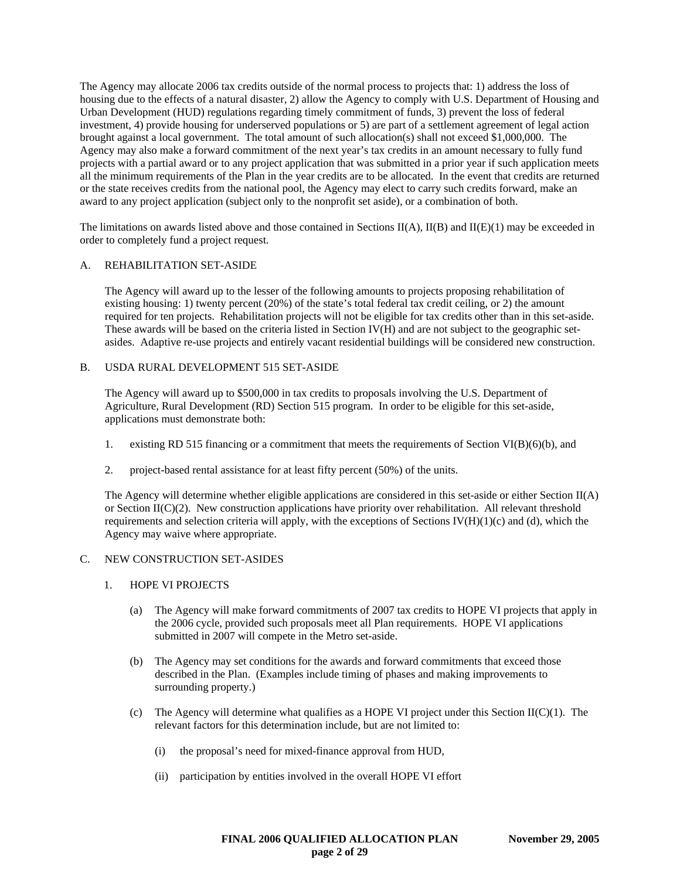The Agency may allocate 2006 tax credits outside of the normal process to projects that: 1) address the loss of housing due to the effects of a natural disaster, 2) allow the Agency to comply with U.S. Department of Housing and Urban Development (HUD) regulations regarding timely commitment of funds, 3) prevent the loss of federal investment, 4) provide housing for underserved populations or 5) are part of a settlement agreement of legal action brought against a local government. The total amount of such allocation(s) shall not exceed \$1,000,000. The Agency may also make a forward commitment of the next year's tax credits in an amount necessary to fully fund projects with a partial award or to any project application that was submitted in a prior year if such application meets all the minimum requirements of the Plan in the year credits are to be allocated. In the event that credits are returned or the state receives credits from the national pool, the Agency may elect to carry such credits forward, make an award to any project application (subject only to the nonprofit set aside), or a combination of both.

The limitations on awards listed above and those contained in Sections  $II(A)$ ,  $II(B)$  and  $II(E)(1)$  may be exceeded in order to completely fund a project request.

## A. REHABILITATION SET-ASIDE

The Agency will award up to the lesser of the following amounts to projects proposing rehabilitation of existing housing: 1) twenty percent (20%) of the state's total federal tax credit ceiling, or 2) the amount required for ten projects. Rehabilitation projects will not be eligible for tax credits other than in this set-aside. These awards will be based on the criteria listed in Section IV(H) and are not subject to the geographic setasides. Adaptive re-use projects and entirely vacant residential buildings will be considered new construction.

## B. USDA RURAL DEVELOPMENT 515 SET-ASIDE

The Agency will award up to \$500,000 in tax credits to proposals involving the U.S. Department of Agriculture, Rural Development (RD) Section 515 program. In order to be eligible for this set-aside, applications must demonstrate both:

- 1. existing RD 515 financing or a commitment that meets the requirements of Section VI(B)(6)(b), and
- 2. project-based rental assistance for at least fifty percent (50%) of the units.

The Agency will determine whether eligible applications are considered in this set-aside or either Section II(A) or Section  $II(C)(2)$ . New construction applications have priority over rehabilitation. All relevant threshold requirements and selection criteria will apply, with the exceptions of Sections IV $(H)(1)(c)$  and (d), which the Agency may waive where appropriate.

#### C. NEW CONSTRUCTION SET-ASIDES

- 1. HOPE VI PROJECTS
	- (a) The Agency will make forward commitments of 2007 tax credits to HOPE VI projects that apply in the 2006 cycle, provided such proposals meet all Plan requirements. HOPE VI applications submitted in 2007 will compete in the Metro set-aside.
	- (b) The Agency may set conditions for the awards and forward commitments that exceed those described in the Plan. (Examples include timing of phases and making improvements to surrounding property.)
	- (c) The Agency will determine what qualifies as a HOPE VI project under this Section  $II(C)(1)$ . The relevant factors for this determination include, but are not limited to:
		- (i) the proposal's need for mixed-finance approval from HUD,
		- (ii) participation by entities involved in the overall HOPE VI effort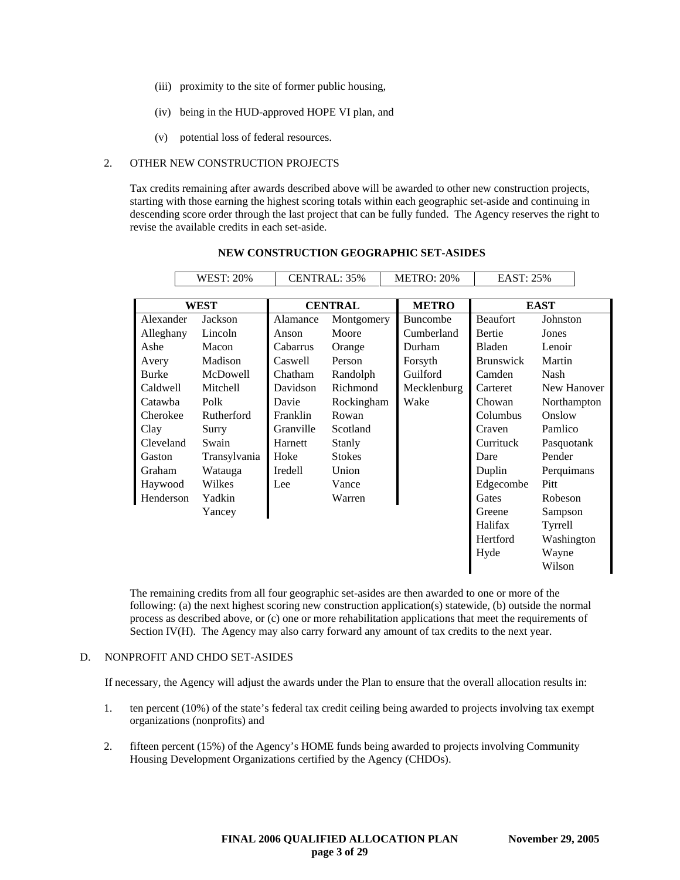- (iii) proximity to the site of former public housing,
- (iv) being in the HUD-approved HOPE VI plan, and
- (v) potential loss of federal resources.

#### 2. OTHER NEW CONSTRUCTION PROJECTS

Tax credits remaining after awards described above will be awarded to other new construction projects, starting with those earning the highest scoring totals within each geographic set-aside and continuing in descending score order through the last project that can be fully funded. The Agency reserves the right to revise the available credits in each set-aside.

|              | <b>WEST: 20%</b> |                | CENTRAL: 35%  |              | <b>METRO: 20%</b> | <b>EAST: 25%</b> |             |
|--------------|------------------|----------------|---------------|--------------|-------------------|------------------|-------------|
|              |                  |                |               |              |                   |                  |             |
| WEST         |                  | <b>CENTRAL</b> |               | <b>METRO</b> |                   | <b>EAST</b>      |             |
| Alexander    | Jackson          | Alamance       | Montgomery    |              | <b>Buncombe</b>   | <b>Beaufort</b>  | Johnston    |
| Alleghany    | Lincoln          | Anson          | Moore         |              | Cumberland        | Bertie           | Jones       |
| Ashe         | Macon            | Cabarrus       | Orange        |              | Durham            | Bladen           | Lenoir      |
| Avery        | Madison          | Caswell        | Person        |              | Forsyth           | <b>Brunswick</b> | Martin      |
| <b>Burke</b> | McDowell         | Chatham        | Randolph      |              | Guilford          | Camden           | Nash        |
| Caldwell     | Mitchell         | Davidson       | Richmond      |              | Mecklenburg       | Carteret         | New Hanover |
| Catawba      | Polk             | Davie          | Rockingham    |              | Wake              | Chowan           | Northampton |
| Cherokee     | Rutherford       | Franklin       | Rowan         |              |                   | Columbus         | Onslow      |
| Clay         | Surry            | Granville      | Scotland      |              |                   | Craven           | Pamlico     |
| Cleveland    | Swain            | Harnett        | Stanly        |              |                   | Currituck        | Pasquotank  |
| Gaston       | Transylvania     | Hoke           | <b>Stokes</b> |              |                   | Dare             | Pender      |
| Graham       | Watauga          | Iredell        | Union         |              |                   | Duplin           | Perquimans  |
| Haywood      | Wilkes           | Lee            | Vance         |              |                   | Edgecombe        | Pitt        |
| Henderson    | Yadkin           |                | Warren        |              |                   | Gates            | Robeson     |
|              | Yancey           |                |               |              |                   | Greene           | Sampson     |
|              |                  |                |               |              |                   | Halifax          | Tyrrell     |
|              |                  |                |               |              |                   | Hertford         | Washington  |
|              |                  |                |               |              |                   | Hyde             | Wayne       |
|              |                  |                |               |              |                   |                  | Wilson      |

#### **NEW CONSTRUCTION GEOGRAPHIC SET-ASIDES**

The remaining credits from all four geographic set-asides are then awarded to one or more of the following: (a) the next highest scoring new construction application(s) statewide, (b) outside the normal process as described above, or (c) one or more rehabilitation applications that meet the requirements of Section IV(H). The Agency may also carry forward any amount of tax credits to the next year.

#### D. NONPROFIT AND CHDO SET-ASIDES

If necessary, the Agency will adjust the awards under the Plan to ensure that the overall allocation results in:

- 1. ten percent (10%) of the state's federal tax credit ceiling being awarded to projects involving tax exempt organizations (nonprofits) and
- 2. fifteen percent (15%) of the Agency's HOME funds being awarded to projects involving Community Housing Development Organizations certified by the Agency (CHDOs).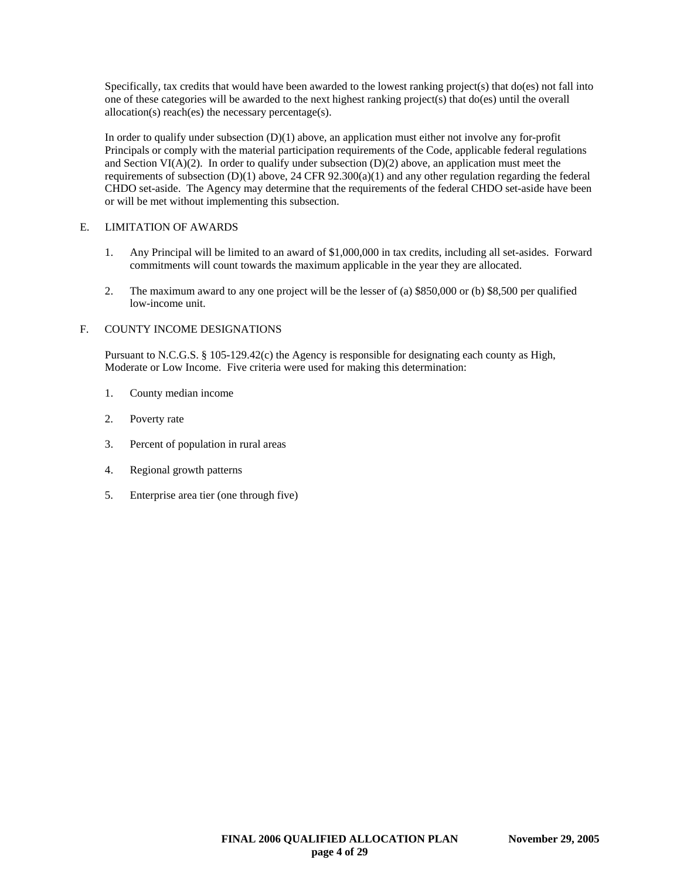Specifically, tax credits that would have been awarded to the lowest ranking project(s) that do(es) not fall into one of these categories will be awarded to the next highest ranking project(s) that do(es) until the overall allocation(s) reach(es) the necessary percentage(s).

In order to qualify under subsection  $(D)(1)$  above, an application must either not involve any for-profit Principals or comply with the material participation requirements of the Code, applicable federal regulations and Section VI( $A$ )(2). In order to qualify under subsection (D)(2) above, an application must meet the requirements of subsection  $(D)(1)$  above, 24 CFR 92.300(a)(1) and any other regulation regarding the federal CHDO set-aside. The Agency may determine that the requirements of the federal CHDO set-aside have been or will be met without implementing this subsection.

## E. LIMITATION OF AWARDS

- 1. Any Principal will be limited to an award of \$1,000,000 in tax credits, including all set-asides. Forward commitments will count towards the maximum applicable in the year they are allocated.
- 2. The maximum award to any one project will be the lesser of (a) \$850,000 or (b) \$8,500 per qualified low-income unit.

## F. COUNTY INCOME DESIGNATIONS

Pursuant to N.C.G.S. § 105-129.42(c) the Agency is responsible for designating each county as High, Moderate or Low Income. Five criteria were used for making this determination:

- 1. County median income
- 2. Poverty rate
- 3. Percent of population in rural areas
- 4. Regional growth patterns
- 5. Enterprise area tier (one through five)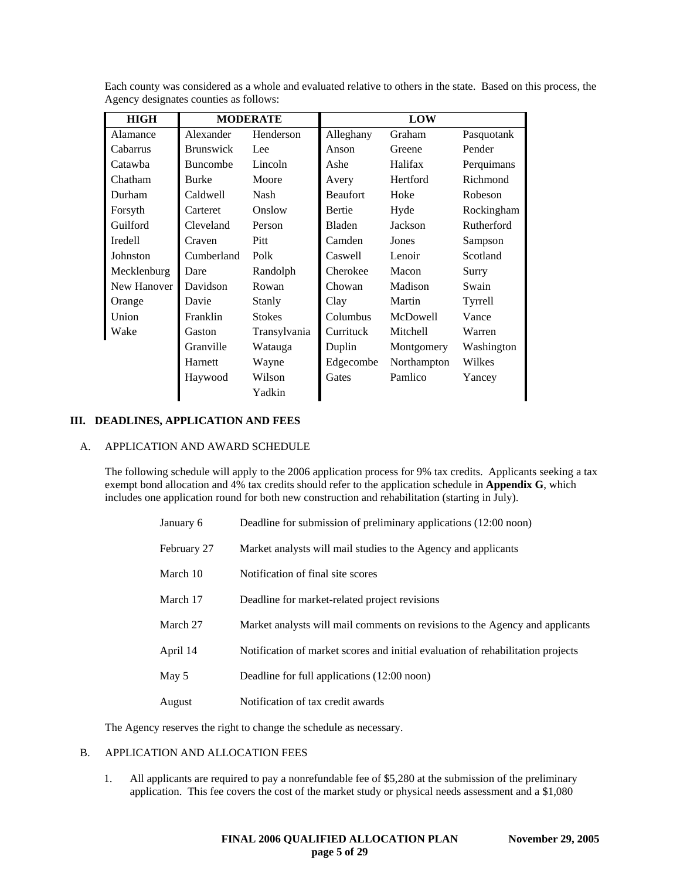| <b>HIGH</b>         | <b>MODERATE</b>  |               | <b>LOW</b>             |             |            |
|---------------------|------------------|---------------|------------------------|-------------|------------|
| Alamance            | Alexander        |               | Henderson<br>Alleghany |             | Pasquotank |
| Cabarrus            | <b>Brunswick</b> | Lee           | Anson                  | Greene      | Pender     |
| Catawba             | <b>Buncombe</b>  | Lincoln       | Ashe                   | Halifax     | Perquimans |
| Chatham             | <b>Burke</b>     | Moore         | Avery                  | Hertford    | Richmond   |
| Durham              | Caldwell         | Nash          | <b>Beaufort</b>        | Hoke        | Robeson    |
| Forsyth<br>Carteret |                  | Onslow        | Bertie                 | Hyde        | Rockingham |
| Guilford            | Cleveland        | Person        | Bladen                 | Jackson     | Rutherford |
| Iredell             | Craven           | Pitt          | Camden                 | Jones       | Sampson    |
| Johnston            | Cumberland       | Polk          | Caswell                | Lenoir      | Scotland   |
| Mecklenburg         | Dare             | Randolph      | Cherokee               | Macon       | Surry      |
| New Hanover         | Davidson         | Rowan         | Chowan                 | Madison     | Swain      |
| Orange              | Davie            | Stanly        | Clay                   | Martin      | Tyrrell    |
| Union               | Franklin         | <b>Stokes</b> | Columbus               | McDowell    | Vance      |
| Wake                | Gaston           | Transylvania  | Currituck              | Mitchell    | Warren     |
|                     | Granville        | Watauga       | Duplin                 | Montgomery  | Washington |
|                     | Harnett          | Wayne         | Edgecombe              | Northampton | Wilkes     |
|                     | Haywood          | Wilson        | Gates                  | Pamlico     | Yancey     |
|                     |                  | Yadkin        |                        |             |            |

Each county was considered as a whole and evaluated relative to others in the state. Based on this process, the Agency designates counties as follows:

#### **III. DEADLINES, APPLICATION AND FEES**

#### A. APPLICATION AND AWARD SCHEDULE

The following schedule will apply to the 2006 application process for 9% tax credits. Applicants seeking a tax exempt bond allocation and 4% tax credits should refer to the application schedule in **Appendix G**, which includes one application round for both new construction and rehabilitation (starting in July).

| January 6   | Deadline for submission of preliminary applications (12:00 noon)                |
|-------------|---------------------------------------------------------------------------------|
| February 27 | Market analysts will mail studies to the Agency and applicants                  |
| March 10    | Notification of final site scores                                               |
| March 17    | Deadline for market-related project revisions                                   |
| March 27    | Market analysts will mail comments on revisions to the Agency and applicants    |
| April 14    | Notification of market scores and initial evaluation of rehabilitation projects |
| May 5       | Deadline for full applications (12:00 noon)                                     |
| August      | Notification of tax credit awards                                               |

The Agency reserves the right to change the schedule as necessary.

## B. APPLICATION AND ALLOCATION FEES

1. All applicants are required to pay a nonrefundable fee of \$5,280 at the submission of the preliminary application. This fee covers the cost of the market study or physical needs assessment and a \$1,080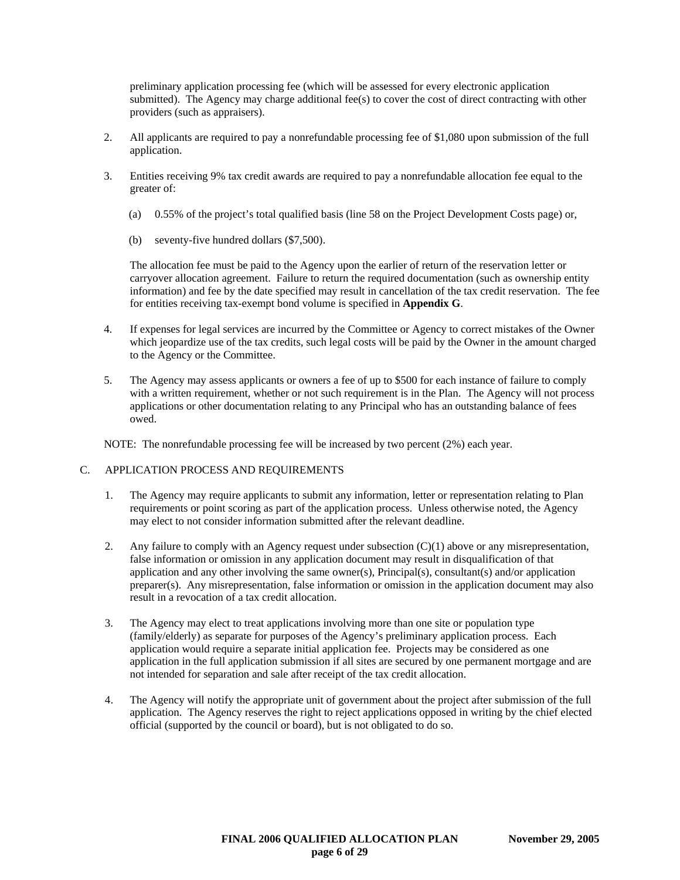preliminary application processing fee (which will be assessed for every electronic application submitted). The Agency may charge additional fee(s) to cover the cost of direct contracting with other providers (such as appraisers).

- 2. All applicants are required to pay a nonrefundable processing fee of \$1,080 upon submission of the full application.
- 3. Entities receiving 9% tax credit awards are required to pay a nonrefundable allocation fee equal to the greater of:
	- (a) 0.55% of the project's total qualified basis (line 58 on the Project Development Costs page) or,
	- (b) seventy-five hundred dollars (\$7,500).

The allocation fee must be paid to the Agency upon the earlier of return of the reservation letter or carryover allocation agreement. Failure to return the required documentation (such as ownership entity information) and fee by the date specified may result in cancellation of the tax credit reservation. The fee for entities receiving tax-exempt bond volume is specified in **Appendix G**.

- 4. If expenses for legal services are incurred by the Committee or Agency to correct mistakes of the Owner which jeopardize use of the tax credits, such legal costs will be paid by the Owner in the amount charged to the Agency or the Committee.
- 5. The Agency may assess applicants or owners a fee of up to \$500 for each instance of failure to comply with a written requirement, whether or not such requirement is in the Plan. The Agency will not process applications or other documentation relating to any Principal who has an outstanding balance of fees owed.

NOTE: The nonrefundable processing fee will be increased by two percent (2%) each year.

#### C. APPLICATION PROCESS AND REQUIREMENTS

- 1. The Agency may require applicants to submit any information, letter or representation relating to Plan requirements or point scoring as part of the application process. Unless otherwise noted, the Agency may elect to not consider information submitted after the relevant deadline.
- 2. Any failure to comply with an Agency request under subsection (C)(1) above or any misrepresentation, false information or omission in any application document may result in disqualification of that application and any other involving the same owner(s), Principal(s), consultant(s) and/or application preparer(s). Any misrepresentation, false information or omission in the application document may also result in a revocation of a tax credit allocation.
- 3. The Agency may elect to treat applications involving more than one site or population type (family/elderly) as separate for purposes of the Agency's preliminary application process. Each application would require a separate initial application fee. Projects may be considered as one application in the full application submission if all sites are secured by one permanent mortgage and are not intended for separation and sale after receipt of the tax credit allocation.
- 4. The Agency will notify the appropriate unit of government about the project after submission of the full application. The Agency reserves the right to reject applications opposed in writing by the chief elected official (supported by the council or board), but is not obligated to do so.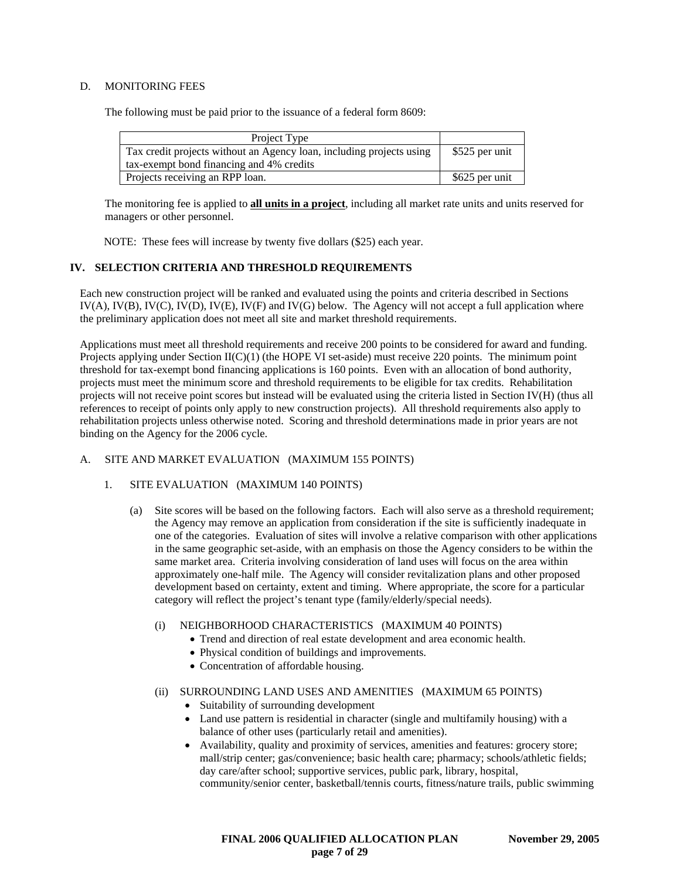## D. MONITORING FEES

The following must be paid prior to the issuance of a federal form 8609:

| Project Type                                                         |                |
|----------------------------------------------------------------------|----------------|
| Tax credit projects without an Agency loan, including projects using | \$525 per unit |
| tax-exempt bond financing and 4% credits                             |                |
| Projects receiving an RPP loan.                                      | \$625 per unit |

The monitoring fee is applied to **all units in a project**, including all market rate units and units reserved for managers or other personnel.

NOTE: These fees will increase by twenty five dollars (\$25) each year.

## **IV. SELECTION CRITERIA AND THRESHOLD REQUIREMENTS**

Each new construction project will be ranked and evaluated using the points and criteria described in Sections IV(A), IV(B), IV(C), IV(D), IV(E), IV(F) and IV(G) below. The Agency will not accept a full application where the preliminary application does not meet all site and market threshold requirements.

Applications must meet all threshold requirements and receive 200 points to be considered for award and funding. Projects applying under Section II(C)(1) (the HOPE VI set-aside) must receive 220 points. The minimum point threshold for tax-exempt bond financing applications is 160 points. Even with an allocation of bond authority, projects must meet the minimum score and threshold requirements to be eligible for tax credits. Rehabilitation projects will not receive point scores but instead will be evaluated using the criteria listed in Section IV(H) (thus all references to receipt of points only apply to new construction projects). All threshold requirements also apply to rehabilitation projects unless otherwise noted. Scoring and threshold determinations made in prior years are not binding on the Agency for the 2006 cycle.

## A. SITE AND MARKET EVALUATION (MAXIMUM 155 POINTS)

- 1. SITE EVALUATION (MAXIMUM 140 POINTS)
	- (a) Site scores will be based on the following factors. Each will also serve as a threshold requirement; the Agency may remove an application from consideration if the site is sufficiently inadequate in one of the categories. Evaluation of sites will involve a relative comparison with other applications in the same geographic set-aside, with an emphasis on those the Agency considers to be within the same market area. Criteria involving consideration of land uses will focus on the area within approximately one-half mile. The Agency will consider revitalization plans and other proposed development based on certainty, extent and timing. Where appropriate, the score for a particular category will reflect the project's tenant type (family/elderly/special needs).
		- (i) NEIGHBORHOOD CHARACTERISTICS (MAXIMUM 40 POINTS)
			- Trend and direction of real estate development and area economic health.
			- Physical condition of buildings and improvements.
			- Concentration of affordable housing.

## (ii) SURROUNDING LAND USES AND AMENITIES (MAXIMUM 65 POINTS)

- Suitability of surrounding development
- Land use pattern is residential in character (single and multifamily housing) with a balance of other uses (particularly retail and amenities).
- Availability, quality and proximity of services, amenities and features: grocery store; mall/strip center; gas/convenience; basic health care; pharmacy; schools/athletic fields; day care/after school; supportive services, public park, library, hospital, community/senior center, basketball/tennis courts, fitness/nature trails, public swimming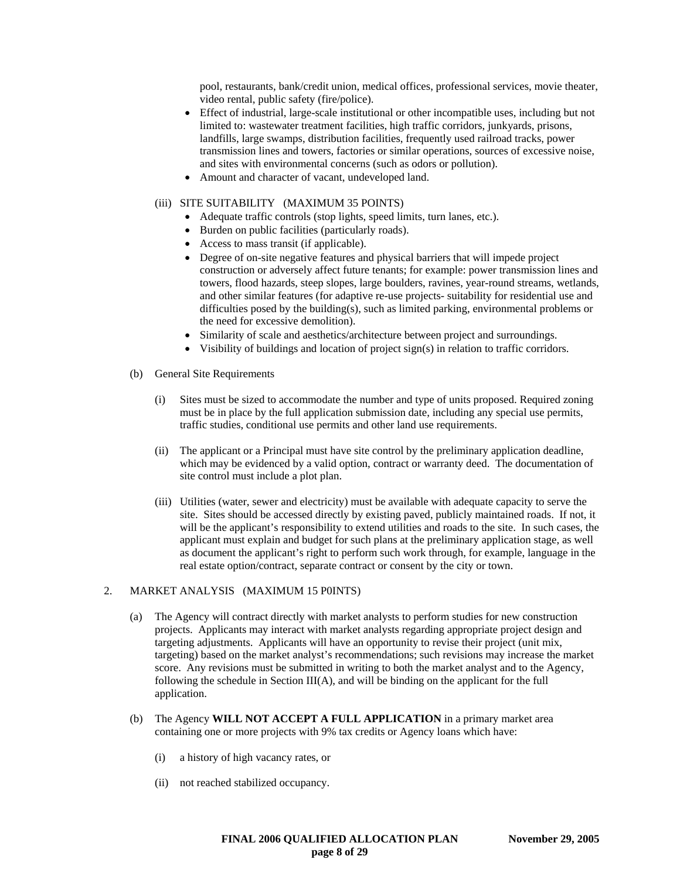pool, restaurants, bank/credit union, medical offices, professional services, movie theater, video rental, public safety (fire/police).

- Effect of industrial, large-scale institutional or other incompatible uses, including but not limited to: wastewater treatment facilities, high traffic corridors, junkyards, prisons, landfills, large swamps, distribution facilities, frequently used railroad tracks, power transmission lines and towers, factories or similar operations, sources of excessive noise, and sites with environmental concerns (such as odors or pollution).
- Amount and character of vacant, undeveloped land.

### (iii) SITE SUITABILITY (MAXIMUM 35 POINTS)

- Adequate traffic controls (stop lights, speed limits, turn lanes, etc.).
- Burden on public facilities (particularly roads).
- Access to mass transit (if applicable).
- Degree of on-site negative features and physical barriers that will impede project construction or adversely affect future tenants; for example: power transmission lines and towers, flood hazards, steep slopes, large boulders, ravines, year-round streams, wetlands, and other similar features (for adaptive re-use projects- suitability for residential use and difficulties posed by the building(s), such as limited parking, environmental problems or the need for excessive demolition).
- Similarity of scale and aesthetics/architecture between project and surroundings.
- Visibility of buildings and location of project sign(s) in relation to traffic corridors.
- (b) General Site Requirements
	- (i) Sites must be sized to accommodate the number and type of units proposed. Required zoning must be in place by the full application submission date, including any special use permits, traffic studies, conditional use permits and other land use requirements.
	- (ii) The applicant or a Principal must have site control by the preliminary application deadline, which may be evidenced by a valid option, contract or warranty deed. The documentation of site control must include a plot plan.
	- (iii) Utilities (water, sewer and electricity) must be available with adequate capacity to serve the site. Sites should be accessed directly by existing paved, publicly maintained roads. If not, it will be the applicant's responsibility to extend utilities and roads to the site. In such cases, the applicant must explain and budget for such plans at the preliminary application stage, as well as document the applicant's right to perform such work through, for example, language in the real estate option/contract, separate contract or consent by the city or town.

#### 2. MARKET ANALYSIS (MAXIMUM 15 P0INTS)

- (a) The Agency will contract directly with market analysts to perform studies for new construction projects. Applicants may interact with market analysts regarding appropriate project design and targeting adjustments. Applicants will have an opportunity to revise their project (unit mix, targeting) based on the market analyst's recommendations; such revisions may increase the market score. Any revisions must be submitted in writing to both the market analyst and to the Agency, following the schedule in Section III(A), and will be binding on the applicant for the full application.
- (b) The Agency **WILL NOT ACCEPT A FULL APPLICATION** in a primary market area containing one or more projects with 9% tax credits or Agency loans which have:
	- (i) a history of high vacancy rates, or
	- (ii) not reached stabilized occupancy.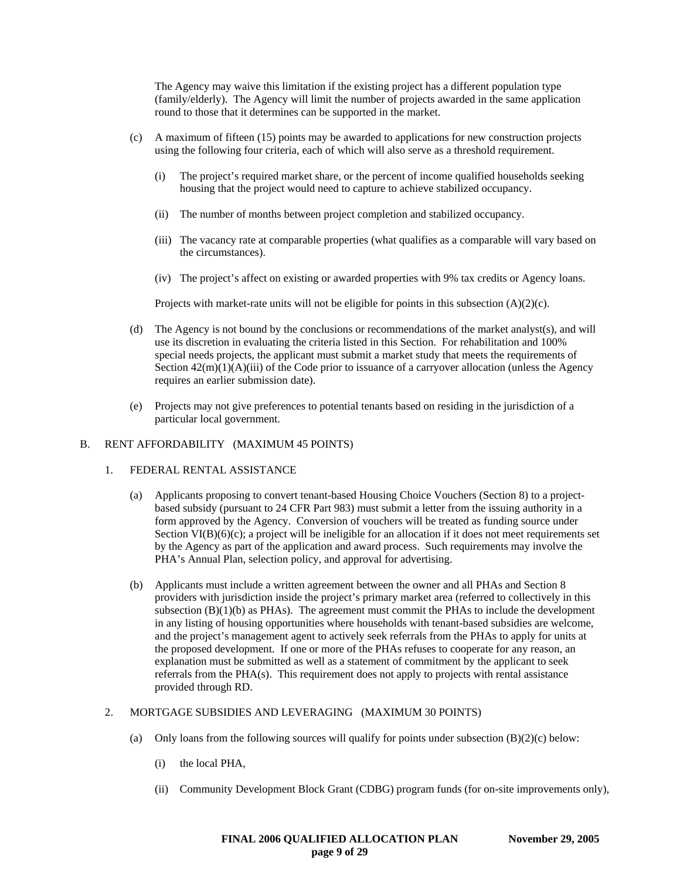The Agency may waive this limitation if the existing project has a different population type (family/elderly). The Agency will limit the number of projects awarded in the same application round to those that it determines can be supported in the market.

- (c) A maximum of fifteen (15) points may be awarded to applications for new construction projects using the following four criteria, each of which will also serve as a threshold requirement.
	- (i) The project's required market share, or the percent of income qualified households seeking housing that the project would need to capture to achieve stabilized occupancy.
	- (ii) The number of months between project completion and stabilized occupancy.
	- (iii) The vacancy rate at comparable properties (what qualifies as a comparable will vary based on the circumstances).
	- (iv) The project's affect on existing or awarded properties with 9% tax credits or Agency loans.

Projects with market-rate units will not be eligible for points in this subsection  $(A)(2)(c)$ .

- (d) The Agency is not bound by the conclusions or recommendations of the market analyst(s), and will use its discretion in evaluating the criteria listed in this Section. For rehabilitation and 100% special needs projects, the applicant must submit a market study that meets the requirements of Section  $42(m)(1)(A)(iii)$  of the Code prior to issuance of a carryover allocation (unless the Agency requires an earlier submission date).
- (e) Projects may not give preferences to potential tenants based on residing in the jurisdiction of a particular local government.

### B. RENT AFFORDABILITY (MAXIMUM 45 POINTS)

- 1. FEDERAL RENTAL ASSISTANCE
	- (a) Applicants proposing to convert tenant-based Housing Choice Vouchers (Section 8) to a projectbased subsidy (pursuant to 24 CFR Part 983) must submit a letter from the issuing authority in a form approved by the Agency. Conversion of vouchers will be treated as funding source under Section  $VI(B)(6)(c)$ ; a project will be ineligible for an allocation if it does not meet requirements set by the Agency as part of the application and award process. Such requirements may involve the PHA's Annual Plan, selection policy, and approval for advertising.
	- (b) Applicants must include a written agreement between the owner and all PHAs and Section 8 providers with jurisdiction inside the project's primary market area (referred to collectively in this subsection  $(B)(1)(b)$  as PHAs). The agreement must commit the PHAs to include the development in any listing of housing opportunities where households with tenant-based subsidies are welcome, and the project's management agent to actively seek referrals from the PHAs to apply for units at the proposed development. If one or more of the PHAs refuses to cooperate for any reason, an explanation must be submitted as well as a statement of commitment by the applicant to seek referrals from the PHA(s). This requirement does not apply to projects with rental assistance provided through RD.
- 2. MORTGAGE SUBSIDIES AND LEVERAGING (MAXIMUM 30 POINTS)
	- (a) Only loans from the following sources will qualify for points under subsection  $(B)(2)(c)$  below:
		- (i) the local PHA,
		- (ii) Community Development Block Grant (CDBG) program funds (for on-site improvements only),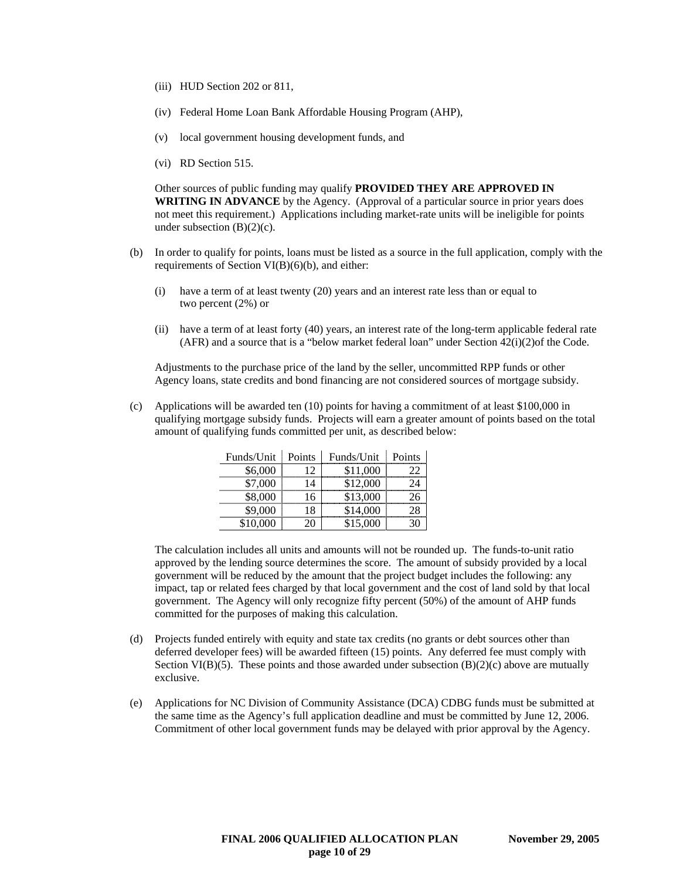- (iii) HUD Section 202 or 811,
- (iv) Federal Home Loan Bank Affordable Housing Program (AHP),
- (v) local government housing development funds, and
- (vi) RD Section 515.

Other sources of public funding may qualify **PROVIDED THEY ARE APPROVED IN WRITING IN ADVANCE** by the Agency. (Approval of a particular source in prior years does not meet this requirement.) Applications including market-rate units will be ineligible for points under subsection  $(B)(2)(c)$ .

- (b) In order to qualify for points, loans must be listed as a source in the full application, comply with the requirements of Section VI(B)(6)(b), and either:
	- (i) have a term of at least twenty (20) years and an interest rate less than or equal to two percent (2%) or
	- (ii) have a term of at least forty (40) years, an interest rate of the long-term applicable federal rate (AFR) and a source that is a "below market federal loan" under Section 42(i)(2)of the Code.

Adjustments to the purchase price of the land by the seller, uncommitted RPP funds or other Agency loans, state credits and bond financing are not considered sources of mortgage subsidy.

(c) Applications will be awarded ten (10) points for having a commitment of at least \$100,000 in qualifying mortgage subsidy funds. Projects will earn a greater amount of points based on the total amount of qualifying funds committed per unit, as described below:

| Funds/Unit | Points | Funds/Unit | Points |
|------------|--------|------------|--------|
| \$6,000    |        | \$11,000   |        |
| \$7,000    | Δ      | \$12,000   |        |
| \$8,000    | 16     | \$13,000   |        |
| \$9.000    |        | \$14,000   |        |
| \$10,000   |        | \$15,000   |        |

The calculation includes all units and amounts will not be rounded up. The funds-to-unit ratio approved by the lending source determines the score. The amount of subsidy provided by a local government will be reduced by the amount that the project budget includes the following: any impact, tap or related fees charged by that local government and the cost of land sold by that local government. The Agency will only recognize fifty percent (50%) of the amount of AHP funds committed for the purposes of making this calculation.

- (d) Projects funded entirely with equity and state tax credits (no grants or debt sources other than deferred developer fees) will be awarded fifteen (15) points. Any deferred fee must comply with Section VI(B)(5). These points and those awarded under subsection  $(B)(2)(c)$  above are mutually exclusive.
- (e) Applications for NC Division of Community Assistance (DCA) CDBG funds must be submitted at the same time as the Agency's full application deadline and must be committed by June 12, 2006. Commitment of other local government funds may be delayed with prior approval by the Agency.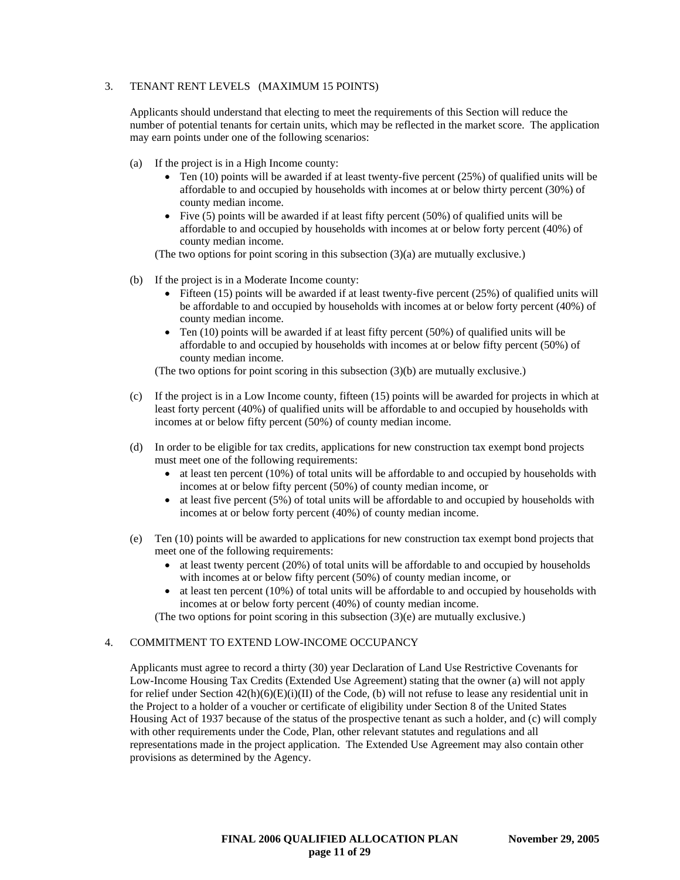## 3. TENANT RENT LEVELS (MAXIMUM 15 POINTS)

Applicants should understand that electing to meet the requirements of this Section will reduce the number of potential tenants for certain units, which may be reflected in the market score. The application may earn points under one of the following scenarios:

- (a) If the project is in a High Income county:
	- Ten (10) points will be awarded if at least twenty-five percent (25%) of qualified units will be affordable to and occupied by households with incomes at or below thirty percent (30%) of county median income.
	- Five (5) points will be awarded if at least fifty percent (50%) of qualified units will be affordable to and occupied by households with incomes at or below forty percent (40%) of county median income.
	- (The two options for point scoring in this subsection (3)(a) are mutually exclusive.)
- (b) If the project is in a Moderate Income county:
	- Fifteen  $(15)$  points will be awarded if at least twenty-five percent  $(25%)$  of qualified units will be affordable to and occupied by households with incomes at or below forty percent (40%) of county median income.
	- Ten  $(10)$  points will be awarded if at least fifty percent  $(50%)$  of qualified units will be affordable to and occupied by households with incomes at or below fifty percent (50%) of county median income.

(The two options for point scoring in this subsection (3)(b) are mutually exclusive.)

- (c) If the project is in a Low Income county, fifteen (15) points will be awarded for projects in which at least forty percent (40%) of qualified units will be affordable to and occupied by households with incomes at or below fifty percent (50%) of county median income.
- (d) In order to be eligible for tax credits, applications for new construction tax exempt bond projects must meet one of the following requirements:
	- at least ten percent (10%) of total units will be affordable to and occupied by households with incomes at or below fifty percent (50%) of county median income, or
	- at least five percent (5%) of total units will be affordable to and occupied by households with incomes at or below forty percent (40%) of county median income.
- (e) Ten (10) points will be awarded to applications for new construction tax exempt bond projects that meet one of the following requirements:
	- at least twenty percent (20%) of total units will be affordable to and occupied by households with incomes at or below fifty percent (50%) of county median income, or
	- at least ten percent (10%) of total units will be affordable to and occupied by households with incomes at or below forty percent (40%) of county median income.
	- (The two options for point scoring in this subsection (3)(e) are mutually exclusive.)

#### 4. COMMITMENT TO EXTEND LOW-INCOME OCCUPANCY

Applicants must agree to record a thirty (30) year Declaration of Land Use Restrictive Covenants for Low-Income Housing Tax Credits (Extended Use Agreement) stating that the owner (a) will not apply for relief under Section  $42(h)(6)(E)(i)(II)$  of the Code, (b) will not refuse to lease any residential unit in the Project to a holder of a voucher or certificate of eligibility under Section 8 of the United States Housing Act of 1937 because of the status of the prospective tenant as such a holder, and (c) will comply with other requirements under the Code, Plan, other relevant statutes and regulations and all representations made in the project application. The Extended Use Agreement may also contain other provisions as determined by the Agency.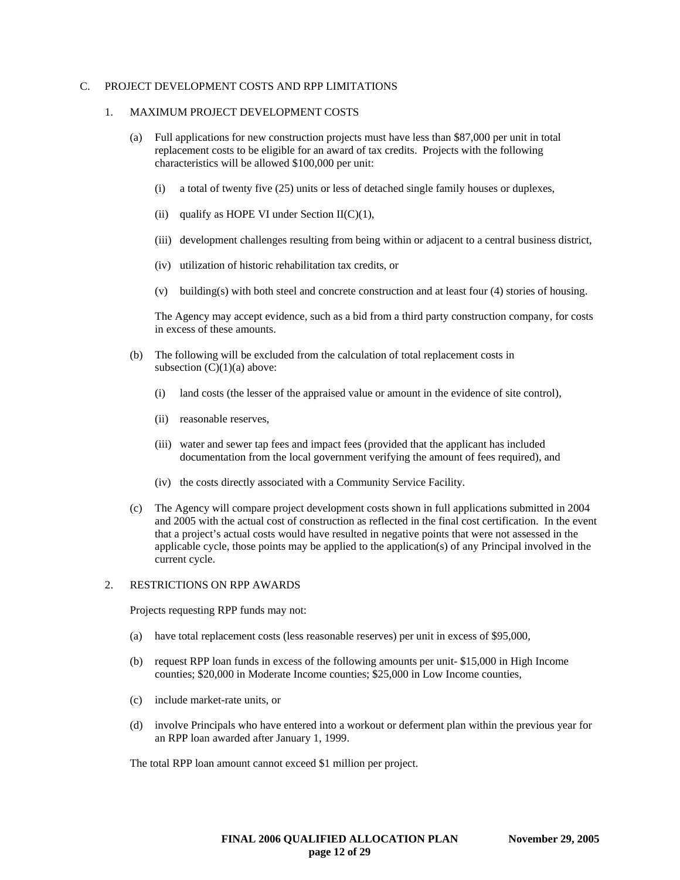### C. PROJECT DEVELOPMENT COSTS AND RPP LIMITATIONS

#### 1. MAXIMUM PROJECT DEVELOPMENT COSTS

- (a) Full applications for new construction projects must have less than \$87,000 per unit in total replacement costs to be eligible for an award of tax credits. Projects with the following characteristics will be allowed \$100,000 per unit:
	- (i) a total of twenty five (25) units or less of detached single family houses or duplexes,
	- (ii) qualify as HOPE VI under Section  $II(C)(1)$ ,
	- (iii) development challenges resulting from being within or adjacent to a central business district,
	- (iv) utilization of historic rehabilitation tax credits, or
	- (v) building(s) with both steel and concrete construction and at least four (4) stories of housing.

The Agency may accept evidence, such as a bid from a third party construction company, for costs in excess of these amounts.

- (b) The following will be excluded from the calculation of total replacement costs in subsection  $(C)(1)(a)$  above:
	- (i) land costs (the lesser of the appraised value or amount in the evidence of site control),
	- (ii) reasonable reserves,
	- (iii) water and sewer tap fees and impact fees (provided that the applicant has included documentation from the local government verifying the amount of fees required), and
	- (iv) the costs directly associated with a Community Service Facility.
- (c) The Agency will compare project development costs shown in full applications submitted in 2004 and 2005 with the actual cost of construction as reflected in the final cost certification. In the event that a project's actual costs would have resulted in negative points that were not assessed in the applicable cycle, those points may be applied to the application(s) of any Principal involved in the current cycle.

#### 2. RESTRICTIONS ON RPP AWARDS

Projects requesting RPP funds may not:

- (a) have total replacement costs (less reasonable reserves) per unit in excess of \$95,000,
- (b) request RPP loan funds in excess of the following amounts per unit- \$15,000 in High Income counties; \$20,000 in Moderate Income counties; \$25,000 in Low Income counties,
- (c) include market-rate units, or
- (d) involve Principals who have entered into a workout or deferment plan within the previous year for an RPP loan awarded after January 1, 1999.

The total RPP loan amount cannot exceed \$1 million per project.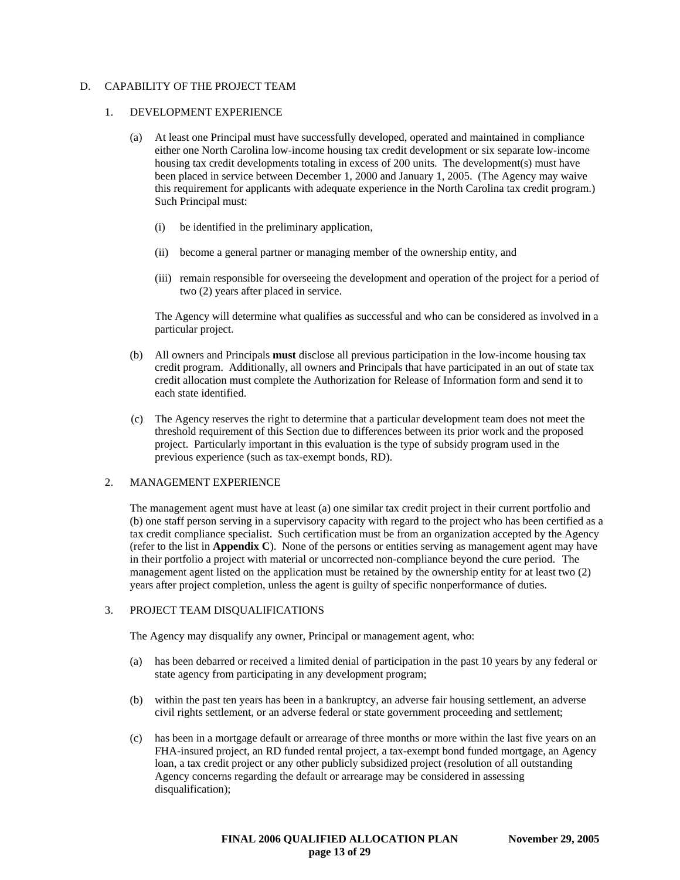## D. CAPABILITY OF THE PROJECT TEAM

#### 1. DEVELOPMENT EXPERIENCE

- (a) At least one Principal must have successfully developed, operated and maintained in compliance either one North Carolina low-income housing tax credit development or six separate low-income housing tax credit developments totaling in excess of 200 units. The development(s) must have been placed in service between December 1, 2000 and January 1, 2005. (The Agency may waive this requirement for applicants with adequate experience in the North Carolina tax credit program.) Such Principal must:
	- (i) be identified in the preliminary application,
	- (ii) become a general partner or managing member of the ownership entity, and
	- (iii) remain responsible for overseeing the development and operation of the project for a period of two (2) years after placed in service.

The Agency will determine what qualifies as successful and who can be considered as involved in a particular project.

- (b) All owners and Principals **must** disclose all previous participation in the low-income housing tax credit program. Additionally, all owners and Principals that have participated in an out of state tax credit allocation must complete the Authorization for Release of Information form and send it to each state identified.
- (c) The Agency reserves the right to determine that a particular development team does not meet the threshold requirement of this Section due to differences between its prior work and the proposed project. Particularly important in this evaluation is the type of subsidy program used in the previous experience (such as tax-exempt bonds, RD).

## 2. MANAGEMENT EXPERIENCE

The management agent must have at least (a) one similar tax credit project in their current portfolio and (b) one staff person serving in a supervisory capacity with regard to the project who has been certified as a tax credit compliance specialist. Such certification must be from an organization accepted by the Agency (refer to the list in **Appendix C**). None of the persons or entities serving as management agent may have in their portfolio a project with material or uncorrected non-compliance beyond the cure period. The management agent listed on the application must be retained by the ownership entity for at least two (2) years after project completion, unless the agent is guilty of specific nonperformance of duties.

### 3. PROJECT TEAM DISQUALIFICATIONS

The Agency may disqualify any owner, Principal or management agent, who:

- (a) has been debarred or received a limited denial of participation in the past 10 years by any federal or state agency from participating in any development program;
- (b) within the past ten years has been in a bankruptcy, an adverse fair housing settlement, an adverse civil rights settlement, or an adverse federal or state government proceeding and settlement;
- (c) has been in a mortgage default or arrearage of three months or more within the last five years on an FHA-insured project, an RD funded rental project, a tax-exempt bond funded mortgage, an Agency loan, a tax credit project or any other publicly subsidized project (resolution of all outstanding Agency concerns regarding the default or arrearage may be considered in assessing disqualification);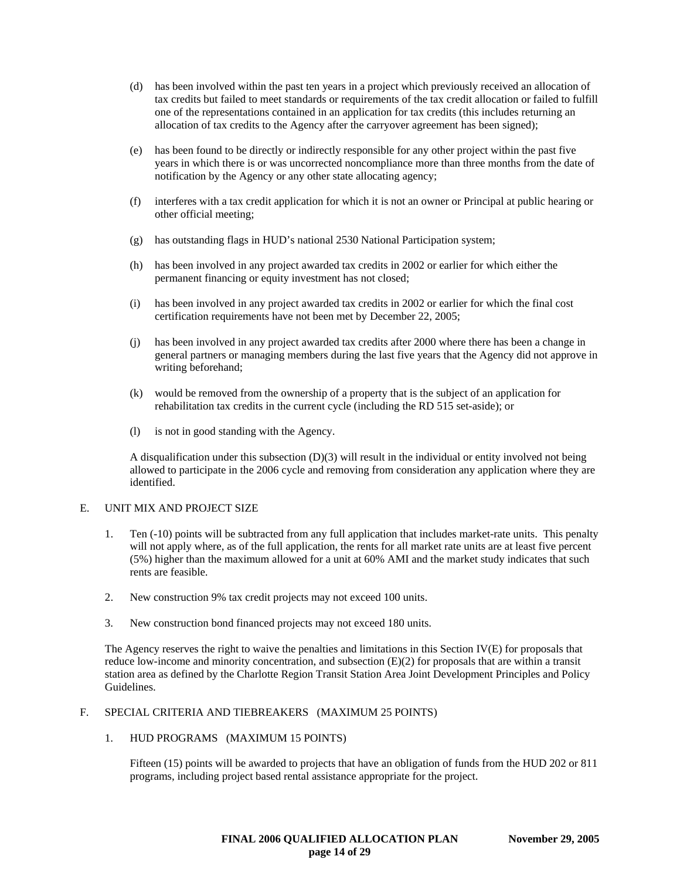- (d) has been involved within the past ten years in a project which previously received an allocation of tax credits but failed to meet standards or requirements of the tax credit allocation or failed to fulfill one of the representations contained in an application for tax credits (this includes returning an allocation of tax credits to the Agency after the carryover agreement has been signed);
- (e) has been found to be directly or indirectly responsible for any other project within the past five years in which there is or was uncorrected noncompliance more than three months from the date of notification by the Agency or any other state allocating agency;
- (f) interferes with a tax credit application for which it is not an owner or Principal at public hearing or other official meeting;
- (g) has outstanding flags in HUD's national 2530 National Participation system;
- (h) has been involved in any project awarded tax credits in 2002 or earlier for which either the permanent financing or equity investment has not closed;
- (i) has been involved in any project awarded tax credits in 2002 or earlier for which the final cost certification requirements have not been met by December 22, 2005;
- (j) has been involved in any project awarded tax credits after 2000 where there has been a change in general partners or managing members during the last five years that the Agency did not approve in writing beforehand;
- (k) would be removed from the ownership of a property that is the subject of an application for rehabilitation tax credits in the current cycle (including the RD 515 set-aside); or
- (l) is not in good standing with the Agency.

A disqualification under this subsection (D)(3) will result in the individual or entity involved not being allowed to participate in the 2006 cycle and removing from consideration any application where they are identified.

### E. UNIT MIX AND PROJECT SIZE

- 1. Ten (-10) points will be subtracted from any full application that includes market-rate units. This penalty will not apply where, as of the full application, the rents for all market rate units are at least five percent (5%) higher than the maximum allowed for a unit at 60% AMI and the market study indicates that such rents are feasible.
- 2. New construction 9% tax credit projects may not exceed 100 units.
- 3. New construction bond financed projects may not exceed 180 units.

The Agency reserves the right to waive the penalties and limitations in this Section IV(E) for proposals that reduce low-income and minority concentration, and subsection (E)(2) for proposals that are within a transit station area as defined by the Charlotte Region Transit Station Area Joint Development Principles and Policy Guidelines.

#### F. SPECIAL CRITERIA AND TIEBREAKERS (MAXIMUM 25 POINTS)

#### 1. HUD PROGRAMS (MAXIMUM 15 POINTS)

Fifteen (15) points will be awarded to projects that have an obligation of funds from the HUD 202 or 811 programs, including project based rental assistance appropriate for the project.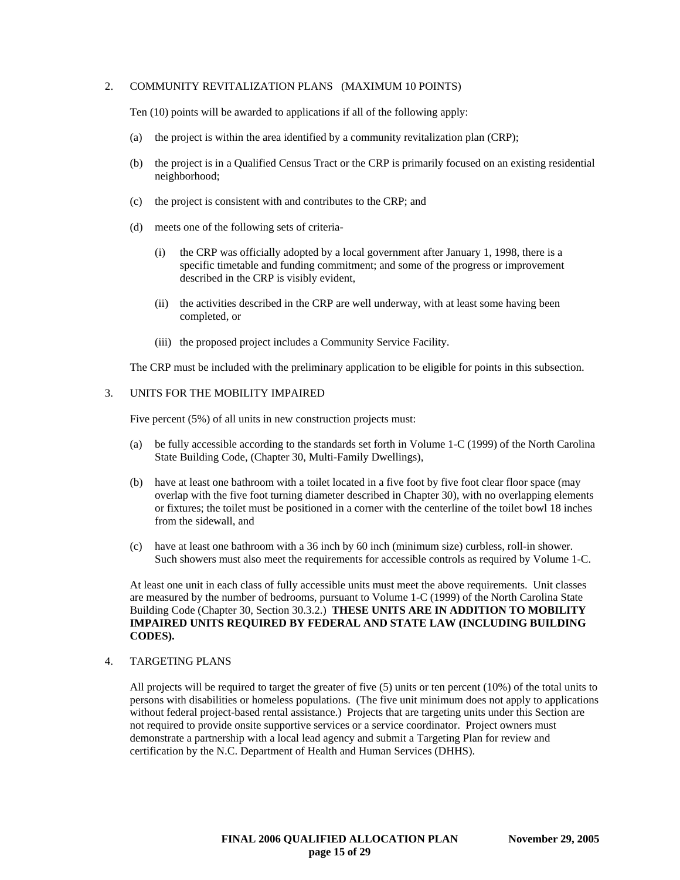### 2. COMMUNITY REVITALIZATION PLANS (MAXIMUM 10 POINTS)

Ten (10) points will be awarded to applications if all of the following apply:

- (a) the project is within the area identified by a community revitalization plan (CRP);
- (b) the project is in a Qualified Census Tract or the CRP is primarily focused on an existing residential neighborhood;
- (c) the project is consistent with and contributes to the CRP; and
- (d) meets one of the following sets of criteria-
	- (i) the CRP was officially adopted by a local government after January 1, 1998, there is a specific timetable and funding commitment; and some of the progress or improvement described in the CRP is visibly evident,
	- (ii) the activities described in the CRP are well underway, with at least some having been completed, or
	- (iii) the proposed project includes a Community Service Facility.

The CRP must be included with the preliminary application to be eligible for points in this subsection.

#### 3. UNITS FOR THE MOBILITY IMPAIRED

Five percent (5%) of all units in new construction projects must:

- (a) be fully accessible according to the standards set forth in Volume 1-C (1999) of the North Carolina State Building Code, (Chapter 30, Multi-Family Dwellings),
- (b) have at least one bathroom with a toilet located in a five foot by five foot clear floor space (may overlap with the five foot turning diameter described in Chapter 30), with no overlapping elements or fixtures; the toilet must be positioned in a corner with the centerline of the toilet bowl 18 inches from the sidewall, and
- (c) have at least one bathroom with a 36 inch by 60 inch (minimum size) curbless, roll-in shower. Such showers must also meet the requirements for accessible controls as required by Volume 1-C.

At least one unit in each class of fully accessible units must meet the above requirements. Unit classes are measured by the number of bedrooms, pursuant to Volume 1-C (1999) of the North Carolina State Building Code (Chapter 30, Section 30.3.2.) **THESE UNITS ARE IN ADDITION TO MOBILITY IMPAIRED UNITS REQUIRED BY FEDERAL AND STATE LAW (INCLUDING BUILDING CODES).**

### 4. TARGETING PLANS

All projects will be required to target the greater of five (5) units or ten percent (10%) of the total units to persons with disabilities or homeless populations. (The five unit minimum does not apply to applications without federal project-based rental assistance.) Projects that are targeting units under this Section are not required to provide onsite supportive services or a service coordinator. Project owners must demonstrate a partnership with a local lead agency and submit a Targeting Plan for review and certification by the N.C. Department of Health and Human Services (DHHS).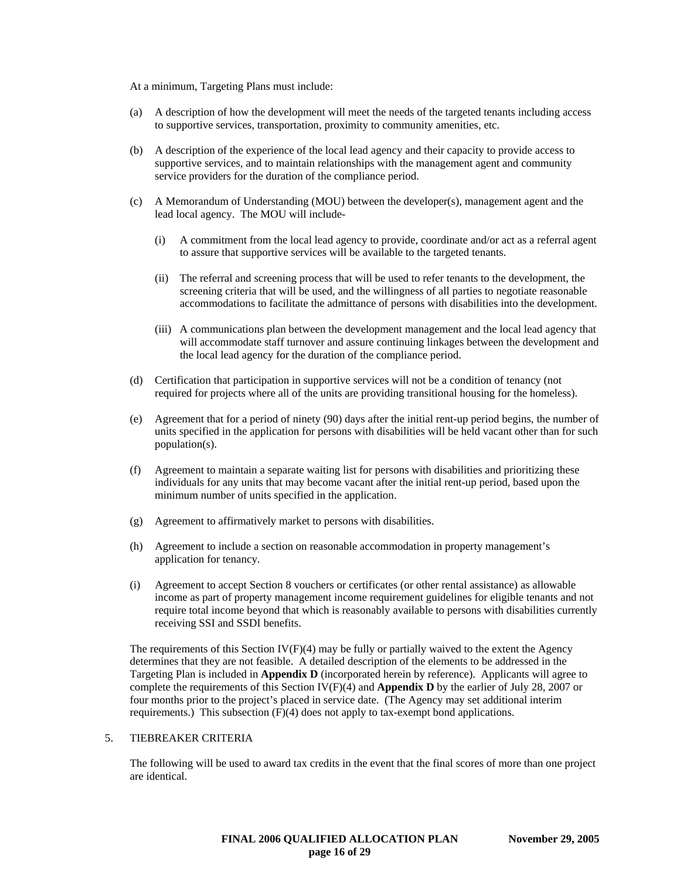At a minimum, Targeting Plans must include:

- (a) A description of how the development will meet the needs of the targeted tenants including access to supportive services, transportation, proximity to community amenities, etc.
- (b) A description of the experience of the local lead agency and their capacity to provide access to supportive services, and to maintain relationships with the management agent and community service providers for the duration of the compliance period.
- (c) A Memorandum of Understanding (MOU) between the developer(s), management agent and the lead local agency. The MOU will include-
	- (i) A commitment from the local lead agency to provide, coordinate and/or act as a referral agent to assure that supportive services will be available to the targeted tenants.
	- (ii) The referral and screening process that will be used to refer tenants to the development, the screening criteria that will be used, and the willingness of all parties to negotiate reasonable accommodations to facilitate the admittance of persons with disabilities into the development.
	- (iii) A communications plan between the development management and the local lead agency that will accommodate staff turnover and assure continuing linkages between the development and the local lead agency for the duration of the compliance period.
- (d) Certification that participation in supportive services will not be a condition of tenancy (not required for projects where all of the units are providing transitional housing for the homeless).
- (e) Agreement that for a period of ninety (90) days after the initial rent-up period begins, the number of units specified in the application for persons with disabilities will be held vacant other than for such population(s).
- (f) Agreement to maintain a separate waiting list for persons with disabilities and prioritizing these individuals for any units that may become vacant after the initial rent-up period, based upon the minimum number of units specified in the application.
- (g) Agreement to affirmatively market to persons with disabilities.
- (h) Agreement to include a section on reasonable accommodation in property management's application for tenancy.
- (i) Agreement to accept Section 8 vouchers or certificates (or other rental assistance) as allowable income as part of property management income requirement guidelines for eligible tenants and not require total income beyond that which is reasonably available to persons with disabilities currently receiving SSI and SSDI benefits.

The requirements of this Section  $IV(F)(4)$  may be fully or partially waived to the extent the Agency determines that they are not feasible. A detailed description of the elements to be addressed in the Targeting Plan is included in **Appendix D** (incorporated herein by reference). Applicants will agree to complete the requirements of this Section IV(F)(4) and **Appendix D** by the earlier of July 28, 2007 or four months prior to the project's placed in service date. (The Agency may set additional interim requirements.) This subsection (F)(4) does not apply to tax-exempt bond applications.

#### 5. TIEBREAKER CRITERIA

The following will be used to award tax credits in the event that the final scores of more than one project are identical.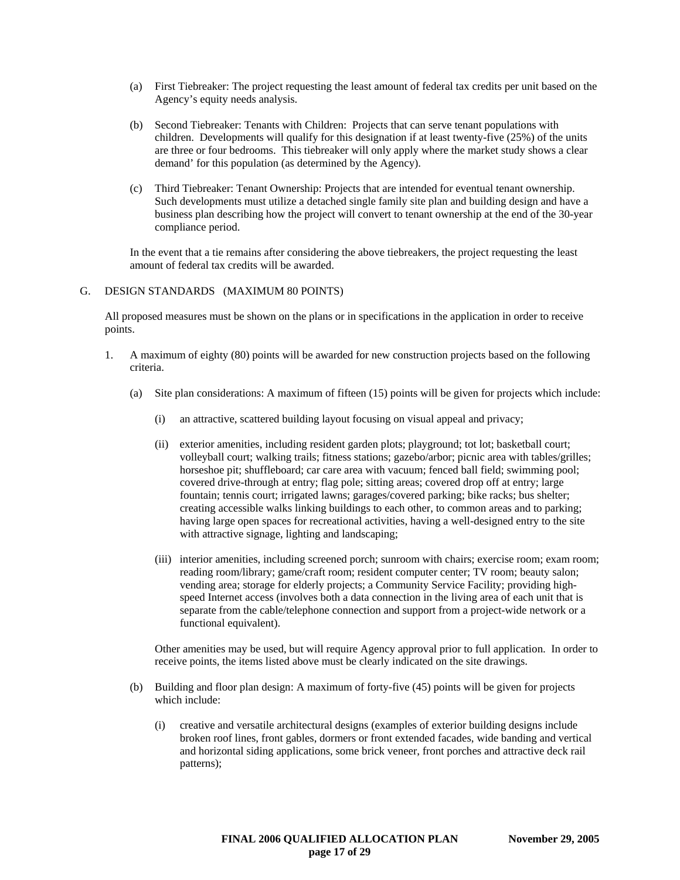- (a) First Tiebreaker: The project requesting the least amount of federal tax credits per unit based on the Agency's equity needs analysis.
- (b) Second Tiebreaker: Tenants with Children: Projects that can serve tenant populations with children. Developments will qualify for this designation if at least twenty-five (25%) of the units are three or four bedrooms. This tiebreaker will only apply where the market study shows a clear demand' for this population (as determined by the Agency).
- (c) Third Tiebreaker: Tenant Ownership: Projects that are intended for eventual tenant ownership. Such developments must utilize a detached single family site plan and building design and have a business plan describing how the project will convert to tenant ownership at the end of the 30-year compliance period.

In the event that a tie remains after considering the above tiebreakers, the project requesting the least amount of federal tax credits will be awarded.

#### G. DESIGN STANDARDS (MAXIMUM 80 POINTS)

All proposed measures must be shown on the plans or in specifications in the application in order to receive points.

- 1. A maximum of eighty (80) points will be awarded for new construction projects based on the following criteria.
	- (a) Site plan considerations: A maximum of fifteen (15) points will be given for projects which include:
		- (i) an attractive, scattered building layout focusing on visual appeal and privacy;
		- (ii) exterior amenities, including resident garden plots; playground; tot lot; basketball court; volleyball court; walking trails; fitness stations; gazebo/arbor; picnic area with tables/grilles; horseshoe pit; shuffleboard; car care area with vacuum; fenced ball field; swimming pool; covered drive-through at entry; flag pole; sitting areas; covered drop off at entry; large fountain; tennis court; irrigated lawns; garages/covered parking; bike racks; bus shelter; creating accessible walks linking buildings to each other, to common areas and to parking; having large open spaces for recreational activities, having a well-designed entry to the site with attractive signage, lighting and landscaping;
		- (iii) interior amenities, including screened porch; sunroom with chairs; exercise room; exam room; reading room/library; game/craft room; resident computer center; TV room; beauty salon; vending area; storage for elderly projects; a Community Service Facility; providing highspeed Internet access (involves both a data connection in the living area of each unit that is separate from the cable/telephone connection and support from a project-wide network or a functional equivalent).

Other amenities may be used, but will require Agency approval prior to full application. In order to receive points, the items listed above must be clearly indicated on the site drawings.

- (b) Building and floor plan design: A maximum of forty-five (45) points will be given for projects which include:
	- (i) creative and versatile architectural designs (examples of exterior building designs include broken roof lines, front gables, dormers or front extended facades, wide banding and vertical and horizontal siding applications, some brick veneer, front porches and attractive deck rail patterns);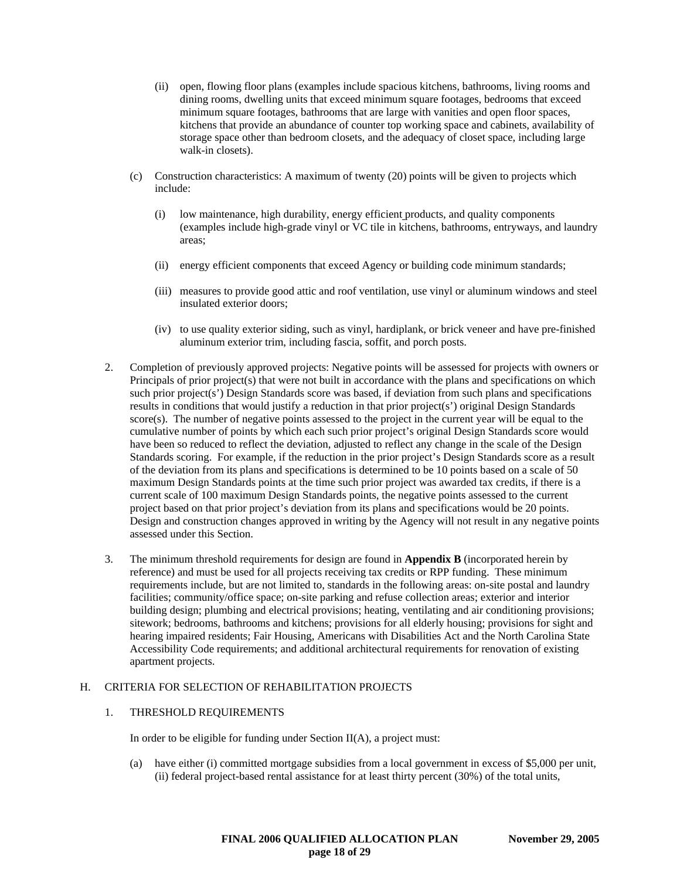- (ii) open, flowing floor plans (examples include spacious kitchens, bathrooms, living rooms and dining rooms, dwelling units that exceed minimum square footages, bedrooms that exceed minimum square footages, bathrooms that are large with vanities and open floor spaces, kitchens that provide an abundance of counter top working space and cabinets, availability of storage space other than bedroom closets, and the adequacy of closet space, including large walk-in closets).
- (c) Construction characteristics: A maximum of twenty (20) points will be given to projects which include:
	- (i) low maintenance, high durability, energy efficient products, and quality components (examples include high-grade vinyl or VC tile in kitchens, bathrooms, entryways, and laundry areas;
	- (ii) energy efficient components that exceed Agency or building code minimum standards;
	- (iii) measures to provide good attic and roof ventilation, use vinyl or aluminum windows and steel insulated exterior doors;
	- (iv) to use quality exterior siding, such as vinyl, hardiplank, or brick veneer and have pre-finished aluminum exterior trim, including fascia, soffit, and porch posts.
- 2. Completion of previously approved projects: Negative points will be assessed for projects with owners or Principals of prior project(s) that were not built in accordance with the plans and specifications on which such prior project(s') Design Standards score was based, if deviation from such plans and specifications results in conditions that would justify a reduction in that prior project(s') original Design Standards score(s). The number of negative points assessed to the project in the current year will be equal to the cumulative number of points by which each such prior project's original Design Standards score would have been so reduced to reflect the deviation, adjusted to reflect any change in the scale of the Design Standards scoring. For example, if the reduction in the prior project's Design Standards score as a result of the deviation from its plans and specifications is determined to be 10 points based on a scale of 50 maximum Design Standards points at the time such prior project was awarded tax credits, if there is a current scale of 100 maximum Design Standards points, the negative points assessed to the current project based on that prior project's deviation from its plans and specifications would be 20 points. Design and construction changes approved in writing by the Agency will not result in any negative points assessed under this Section.
- 3. The minimum threshold requirements for design are found in **Appendix B** (incorporated herein by reference) and must be used for all projects receiving tax credits or RPP funding. These minimum requirements include, but are not limited to, standards in the following areas: on-site postal and laundry facilities; community/office space; on-site parking and refuse collection areas; exterior and interior building design; plumbing and electrical provisions; heating, ventilating and air conditioning provisions; sitework; bedrooms, bathrooms and kitchens; provisions for all elderly housing; provisions for sight and hearing impaired residents; Fair Housing, Americans with Disabilities Act and the North Carolina State Accessibility Code requirements; and additional architectural requirements for renovation of existing apartment projects.

## H. CRITERIA FOR SELECTION OF REHABILITATION PROJECTS

#### 1. THRESHOLD REQUIREMENTS

In order to be eligible for funding under Section II(A), a project must:

(a) have either (i) committed mortgage subsidies from a local government in excess of \$5,000 per unit, (ii) federal project-based rental assistance for at least thirty percent (30%) of the total units,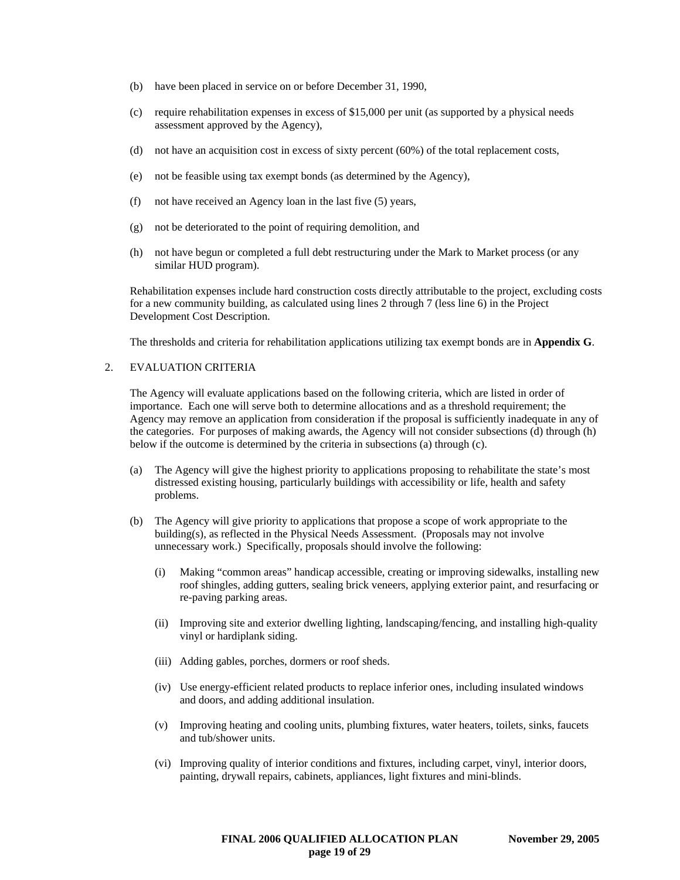- (b) have been placed in service on or before December 31, 1990,
- (c) require rehabilitation expenses in excess of \$15,000 per unit (as supported by a physical needs assessment approved by the Agency),
- (d) not have an acquisition cost in excess of sixty percent (60%) of the total replacement costs,
- (e) not be feasible using tax exempt bonds (as determined by the Agency),
- (f) not have received an Agency loan in the last five (5) years,
- (g) not be deteriorated to the point of requiring demolition, and
- (h) not have begun or completed a full debt restructuring under the Mark to Market process (or any similar HUD program).

Rehabilitation expenses include hard construction costs directly attributable to the project, excluding costs for a new community building, as calculated using lines 2 through 7 (less line 6) in the Project Development Cost Description.

The thresholds and criteria for rehabilitation applications utilizing tax exempt bonds are in **Appendix G**.

## 2. EVALUATION CRITERIA

The Agency will evaluate applications based on the following criteria, which are listed in order of importance. Each one will serve both to determine allocations and as a threshold requirement; the Agency may remove an application from consideration if the proposal is sufficiently inadequate in any of the categories. For purposes of making awards, the Agency will not consider subsections (d) through (h) below if the outcome is determined by the criteria in subsections (a) through (c).

- (a) The Agency will give the highest priority to applications proposing to rehabilitate the state's most distressed existing housing, particularly buildings with accessibility or life, health and safety problems.
- (b) The Agency will give priority to applications that propose a scope of work appropriate to the building(s), as reflected in the Physical Needs Assessment. (Proposals may not involve unnecessary work.) Specifically, proposals should involve the following:
	- (i) Making "common areas" handicap accessible, creating or improving sidewalks, installing new roof shingles, adding gutters, sealing brick veneers, applying exterior paint, and resurfacing or re-paving parking areas.
	- (ii) Improving site and exterior dwelling lighting, landscaping/fencing, and installing high-quality vinyl or hardiplank siding.
	- (iii) Adding gables, porches, dormers or roof sheds.
	- (iv) Use energy-efficient related products to replace inferior ones, including insulated windows and doors, and adding additional insulation.
	- (v) Improving heating and cooling units, plumbing fixtures, water heaters, toilets, sinks, faucets and tub/shower units.
	- (vi) Improving quality of interior conditions and fixtures, including carpet, vinyl, interior doors, painting, drywall repairs, cabinets, appliances, light fixtures and mini-blinds.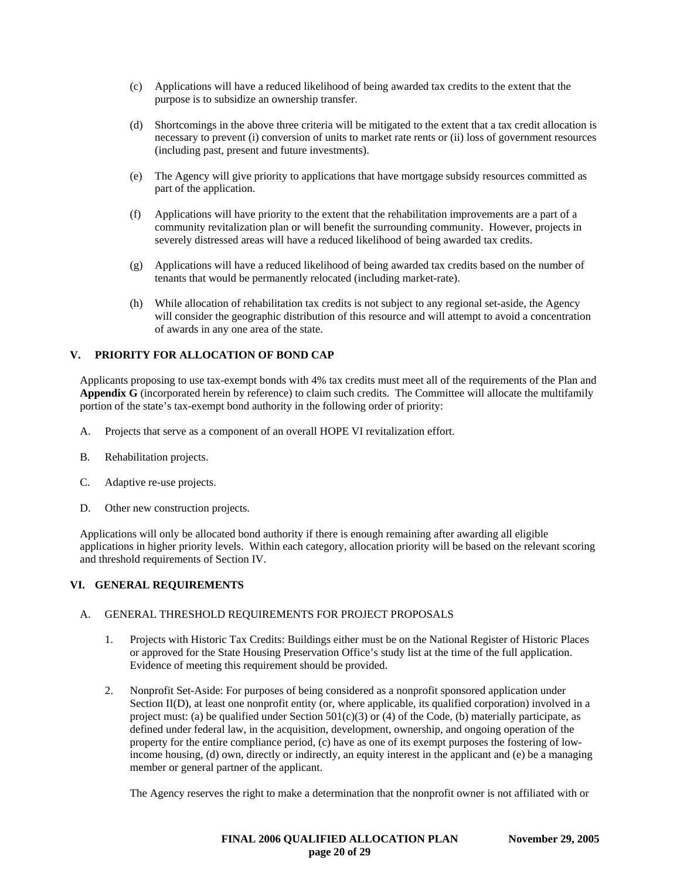- (c) Applications will have a reduced likelihood of being awarded tax credits to the extent that the purpose is to subsidize an ownership transfer.
- (d) Shortcomings in the above three criteria will be mitigated to the extent that a tax credit allocation is necessary to prevent (i) conversion of units to market rate rents or (ii) loss of government resources (including past, present and future investments).
- (e) The Agency will give priority to applications that have mortgage subsidy resources committed as part of the application.
- (f) Applications will have priority to the extent that the rehabilitation improvements are a part of a community revitalization plan or will benefit the surrounding community. However, projects in severely distressed areas will have a reduced likelihood of being awarded tax credits.
- (g) Applications will have a reduced likelihood of being awarded tax credits based on the number of tenants that would be permanently relocated (including market-rate).
- (h) While allocation of rehabilitation tax credits is not subject to any regional set-aside, the Agency will consider the geographic distribution of this resource and will attempt to avoid a concentration of awards in any one area of the state.

## **V. PRIORITY FOR ALLOCATION OF BOND CAP**

Applicants proposing to use tax-exempt bonds with 4% tax credits must meet all of the requirements of the Plan and **Appendix G** (incorporated herein by reference) to claim such credits. The Committee will allocate the multifamily portion of the state's tax-exempt bond authority in the following order of priority:

- A. Projects that serve as a component of an overall HOPE VI revitalization effort.
- B. Rehabilitation projects.
- C. Adaptive re-use projects.
- D. Other new construction projects.

Applications will only be allocated bond authority if there is enough remaining after awarding all eligible applications in higher priority levels. Within each category, allocation priority will be based on the relevant scoring and threshold requirements of Section IV.

## **VI. GENERAL REQUIREMENTS**

## A. GENERAL THRESHOLD REQUIREMENTS FOR PROJECT PROPOSALS

- 1. Projects with Historic Tax Credits: Buildings either must be on the National Register of Historic Places or approved for the State Housing Preservation Office's study list at the time of the full application. Evidence of meeting this requirement should be provided.
- 2. Nonprofit Set-Aside: For purposes of being considered as a nonprofit sponsored application under Section II(D), at least one nonprofit entity (or, where applicable, its qualified corporation) involved in a project must: (a) be qualified under Section  $501(c)(3)$  or (4) of the Code, (b) materially participate, as defined under federal law, in the acquisition, development, ownership, and ongoing operation of the property for the entire compliance period, (c) have as one of its exempt purposes the fostering of lowincome housing, (d) own, directly or indirectly, an equity interest in the applicant and (e) be a managing member or general partner of the applicant.

The Agency reserves the right to make a determination that the nonprofit owner is not affiliated with or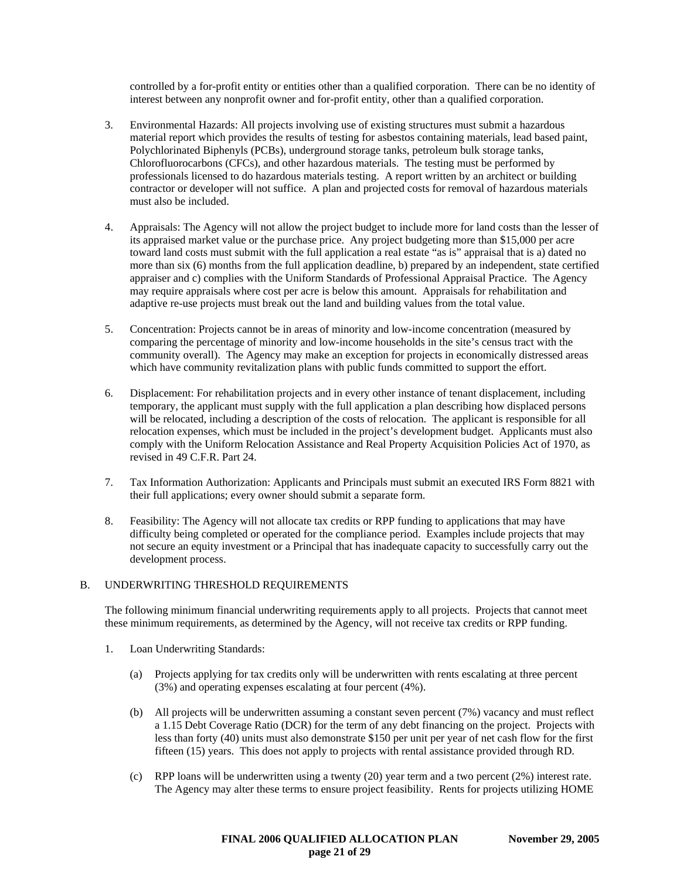controlled by a for-profit entity or entities other than a qualified corporation. There can be no identity of interest between any nonprofit owner and for-profit entity, other than a qualified corporation.

- 3. Environmental Hazards: All projects involving use of existing structures must submit a hazardous material report which provides the results of testing for asbestos containing materials, lead based paint, Polychlorinated Biphenyls (PCBs), underground storage tanks, petroleum bulk storage tanks, Chlorofluorocarbons (CFCs), and other hazardous materials. The testing must be performed by professionals licensed to do hazardous materials testing. A report written by an architect or building contractor or developer will not suffice. A plan and projected costs for removal of hazardous materials must also be included.
- 4. Appraisals: The Agency will not allow the project budget to include more for land costs than the lesser of its appraised market value or the purchase price. Any project budgeting more than \$15,000 per acre toward land costs must submit with the full application a real estate "as is" appraisal that is a) dated no more than six (6) months from the full application deadline, b) prepared by an independent, state certified appraiser and c) complies with the Uniform Standards of Professional Appraisal Practice. The Agency may require appraisals where cost per acre is below this amount. Appraisals for rehabilitation and adaptive re-use projects must break out the land and building values from the total value.
- 5. Concentration: Projects cannot be in areas of minority and low-income concentration (measured by comparing the percentage of minority and low-income households in the site's census tract with the community overall). The Agency may make an exception for projects in economically distressed areas which have community revitalization plans with public funds committed to support the effort.
- 6. Displacement: For rehabilitation projects and in every other instance of tenant displacement, including temporary, the applicant must supply with the full application a plan describing how displaced persons will be relocated, including a description of the costs of relocation. The applicant is responsible for all relocation expenses, which must be included in the project's development budget. Applicants must also comply with the Uniform Relocation Assistance and Real Property Acquisition Policies Act of 1970, as revised in 49 C.F.R. Part 24.
- 7. Tax Information Authorization: Applicants and Principals must submit an executed IRS Form 8821 with their full applications; every owner should submit a separate form.
- 8. Feasibility: The Agency will not allocate tax credits or RPP funding to applications that may have difficulty being completed or operated for the compliance period. Examples include projects that may not secure an equity investment or a Principal that has inadequate capacity to successfully carry out the development process.

## B. UNDERWRITING THRESHOLD REQUIREMENTS

The following minimum financial underwriting requirements apply to all projects. Projects that cannot meet these minimum requirements, as determined by the Agency, will not receive tax credits or RPP funding.

- 1. Loan Underwriting Standards:
	- (a) Projects applying for tax credits only will be underwritten with rents escalating at three percent (3%) and operating expenses escalating at four percent (4%).
	- (b) All projects will be underwritten assuming a constant seven percent (7%) vacancy and must reflect a 1.15 Debt Coverage Ratio (DCR) for the term of any debt financing on the project. Projects with less than forty (40) units must also demonstrate \$150 per unit per year of net cash flow for the first fifteen (15) years. This does not apply to projects with rental assistance provided through RD.
	- (c) RPP loans will be underwritten using a twenty (20) year term and a two percent (2%) interest rate. The Agency may alter these terms to ensure project feasibility. Rents for projects utilizing HOME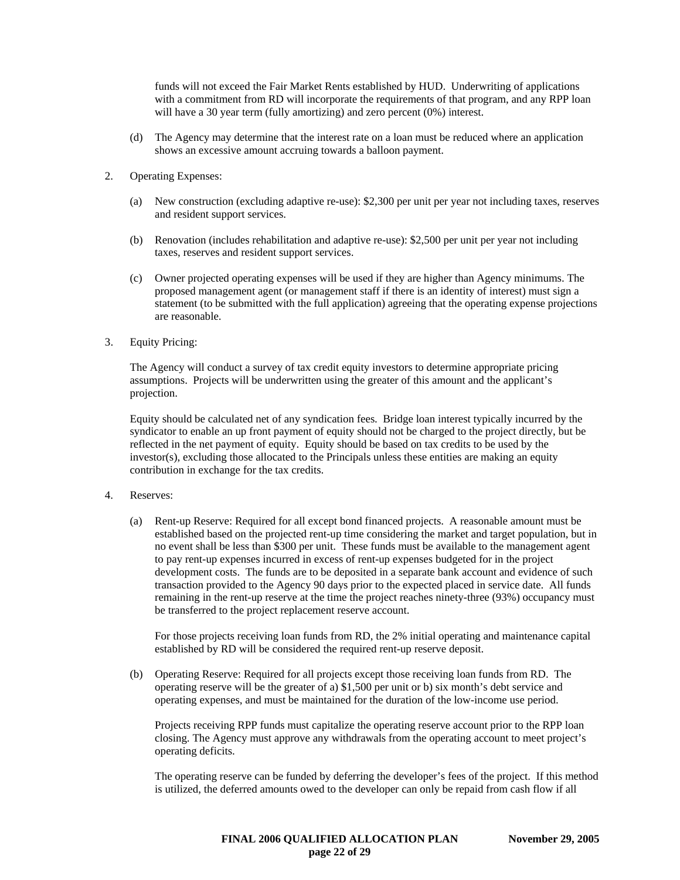funds will not exceed the Fair Market Rents established by HUD. Underwriting of applications with a commitment from RD will incorporate the requirements of that program, and any RPP loan will have a 30 year term (fully amortizing) and zero percent  $(0\%)$  interest.

- (d) The Agency may determine that the interest rate on a loan must be reduced where an application shows an excessive amount accruing towards a balloon payment.
- 2. Operating Expenses:
	- (a) New construction (excluding adaptive re-use): \$2,300 per unit per year not including taxes, reserves and resident support services.
	- (b) Renovation (includes rehabilitation and adaptive re-use): \$2,500 per unit per year not including taxes, reserves and resident support services.
	- (c) Owner projected operating expenses will be used if they are higher than Agency minimums. The proposed management agent (or management staff if there is an identity of interest) must sign a statement (to be submitted with the full application) agreeing that the operating expense projections are reasonable.
- 3. Equity Pricing:

The Agency will conduct a survey of tax credit equity investors to determine appropriate pricing assumptions. Projects will be underwritten using the greater of this amount and the applicant's projection.

Equity should be calculated net of any syndication fees. Bridge loan interest typically incurred by the syndicator to enable an up front payment of equity should not be charged to the project directly, but be reflected in the net payment of equity. Equity should be based on tax credits to be used by the investor(s), excluding those allocated to the Principals unless these entities are making an equity contribution in exchange for the tax credits.

- 4. Reserves:
	- (a) Rent-up Reserve: Required for all except bond financed projects. A reasonable amount must be established based on the projected rent-up time considering the market and target population, but in no event shall be less than \$300 per unit. These funds must be available to the management agent to pay rent-up expenses incurred in excess of rent-up expenses budgeted for in the project development costs. The funds are to be deposited in a separate bank account and evidence of such transaction provided to the Agency 90 days prior to the expected placed in service date. All funds remaining in the rent-up reserve at the time the project reaches ninety-three (93%) occupancy must be transferred to the project replacement reserve account.

For those projects receiving loan funds from RD, the 2% initial operating and maintenance capital established by RD will be considered the required rent-up reserve deposit.

(b) Operating Reserve: Required for all projects except those receiving loan funds from RD. The operating reserve will be the greater of a) \$1,500 per unit or b) six month's debt service and operating expenses, and must be maintained for the duration of the low-income use period.

Projects receiving RPP funds must capitalize the operating reserve account prior to the RPP loan closing. The Agency must approve any withdrawals from the operating account to meet project's operating deficits.

The operating reserve can be funded by deferring the developer's fees of the project. If this method is utilized, the deferred amounts owed to the developer can only be repaid from cash flow if all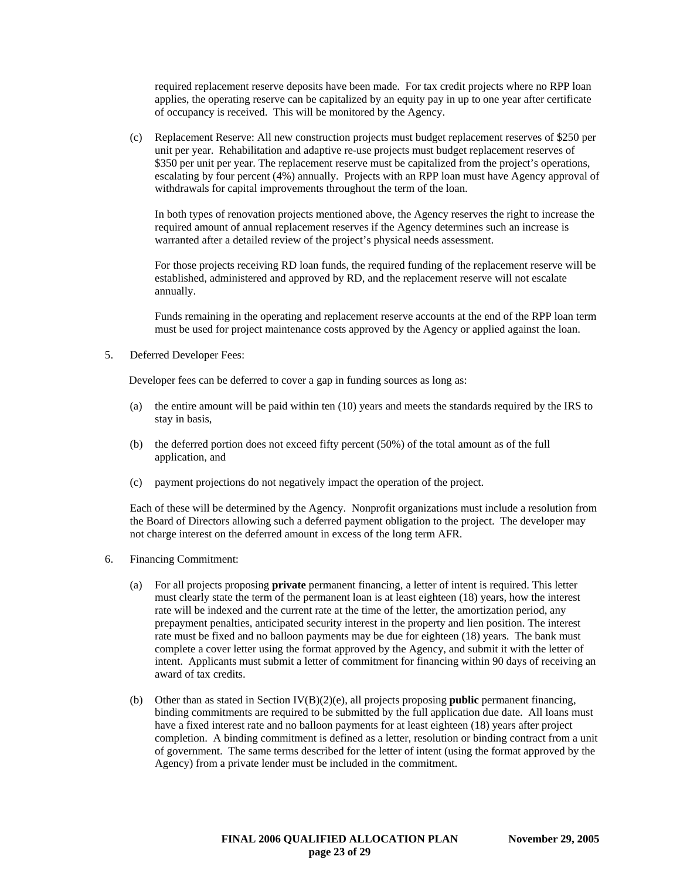required replacement reserve deposits have been made. For tax credit projects where no RPP loan applies, the operating reserve can be capitalized by an equity pay in up to one year after certificate of occupancy is received. This will be monitored by the Agency.

(c) Replacement Reserve: All new construction projects must budget replacement reserves of \$250 per unit per year. Rehabilitation and adaptive re-use projects must budget replacement reserves of \$350 per unit per year. The replacement reserve must be capitalized from the project's operations, escalating by four percent (4%) annually. Projects with an RPP loan must have Agency approval of withdrawals for capital improvements throughout the term of the loan.

In both types of renovation projects mentioned above, the Agency reserves the right to increase the required amount of annual replacement reserves if the Agency determines such an increase is warranted after a detailed review of the project's physical needs assessment.

For those projects receiving RD loan funds, the required funding of the replacement reserve will be established, administered and approved by RD, and the replacement reserve will not escalate annually.

Funds remaining in the operating and replacement reserve accounts at the end of the RPP loan term must be used for project maintenance costs approved by the Agency or applied against the loan.

5. Deferred Developer Fees:

Developer fees can be deferred to cover a gap in funding sources as long as:

- (a) the entire amount will be paid within ten (10) years and meets the standards required by the IRS to stay in basis,
- (b) the deferred portion does not exceed fifty percent (50%) of the total amount as of the full application, and
- (c) payment projections do not negatively impact the operation of the project.

Each of these will be determined by the Agency. Nonprofit organizations must include a resolution from the Board of Directors allowing such a deferred payment obligation to the project. The developer may not charge interest on the deferred amount in excess of the long term AFR.

- 6. Financing Commitment:
	- (a) For all projects proposing **private** permanent financing, a letter of intent is required. This letter must clearly state the term of the permanent loan is at least eighteen (18) years, how the interest rate will be indexed and the current rate at the time of the letter, the amortization period, any prepayment penalties, anticipated security interest in the property and lien position. The interest rate must be fixed and no balloon payments may be due for eighteen (18) years. The bank must complete a cover letter using the format approved by the Agency, and submit it with the letter of intent. Applicants must submit a letter of commitment for financing within 90 days of receiving an award of tax credits.
	- (b) Other than as stated in Section IV(B)(2)(e), all projects proposing **public** permanent financing, binding commitments are required to be submitted by the full application due date. All loans must have a fixed interest rate and no balloon payments for at least eighteen (18) years after project completion. A binding commitment is defined as a letter, resolution or binding contract from a unit of government. The same terms described for the letter of intent (using the format approved by the Agency) from a private lender must be included in the commitment.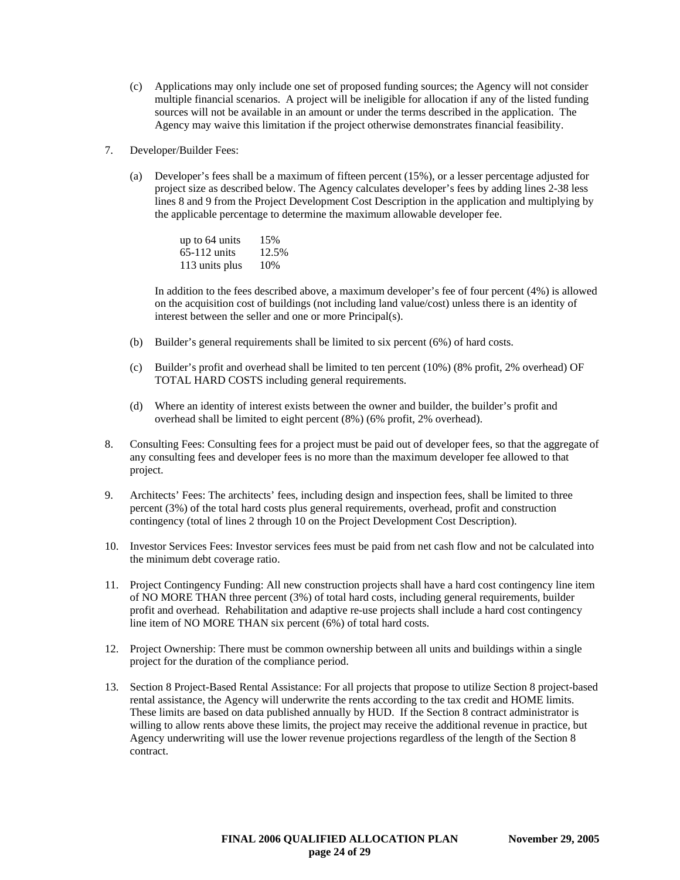- (c) Applications may only include one set of proposed funding sources; the Agency will not consider multiple financial scenarios. A project will be ineligible for allocation if any of the listed funding sources will not be available in an amount or under the terms described in the application. The Agency may waive this limitation if the project otherwise demonstrates financial feasibility.
- 7. Developer/Builder Fees:
	- (a) Developer's fees shall be a maximum of fifteen percent (15%), or a lesser percentage adjusted for project size as described below. The Agency calculates developer's fees by adding lines 2-38 less lines 8 and 9 from the Project Development Cost Description in the application and multiplying by the applicable percentage to determine the maximum allowable developer fee.

| up to 64 units | 15%   |
|----------------|-------|
| $65-112$ units | 12.5% |
| 113 units plus | 10%   |

In addition to the fees described above, a maximum developer's fee of four percent (4%) is allowed on the acquisition cost of buildings (not including land value/cost) unless there is an identity of interest between the seller and one or more Principal(s).

- (b) Builder's general requirements shall be limited to six percent (6%) of hard costs.
- (c) Builder's profit and overhead shall be limited to ten percent (10%) (8% profit, 2% overhead) OF TOTAL HARD COSTS including general requirements.
- (d) Where an identity of interest exists between the owner and builder, the builder's profit and overhead shall be limited to eight percent (8%) (6% profit, 2% overhead).
- 8. Consulting Fees: Consulting fees for a project must be paid out of developer fees, so that the aggregate of any consulting fees and developer fees is no more than the maximum developer fee allowed to that project.
- 9. Architects' Fees: The architects' fees, including design and inspection fees, shall be limited to three percent (3%) of the total hard costs plus general requirements, overhead, profit and construction contingency (total of lines 2 through 10 on the Project Development Cost Description).
- 10. Investor Services Fees: Investor services fees must be paid from net cash flow and not be calculated into the minimum debt coverage ratio.
- 11. Project Contingency Funding: All new construction projects shall have a hard cost contingency line item of NO MORE THAN three percent (3%) of total hard costs, including general requirements, builder profit and overhead. Rehabilitation and adaptive re-use projects shall include a hard cost contingency line item of NO MORE THAN six percent (6%) of total hard costs.
- 12. Project Ownership: There must be common ownership between all units and buildings within a single project for the duration of the compliance period.
- 13. Section 8 Project-Based Rental Assistance: For all projects that propose to utilize Section 8 project-based rental assistance, the Agency will underwrite the rents according to the tax credit and HOME limits. These limits are based on data published annually by HUD. If the Section 8 contract administrator is willing to allow rents above these limits, the project may receive the additional revenue in practice, but Agency underwriting will use the lower revenue projections regardless of the length of the Section 8 contract.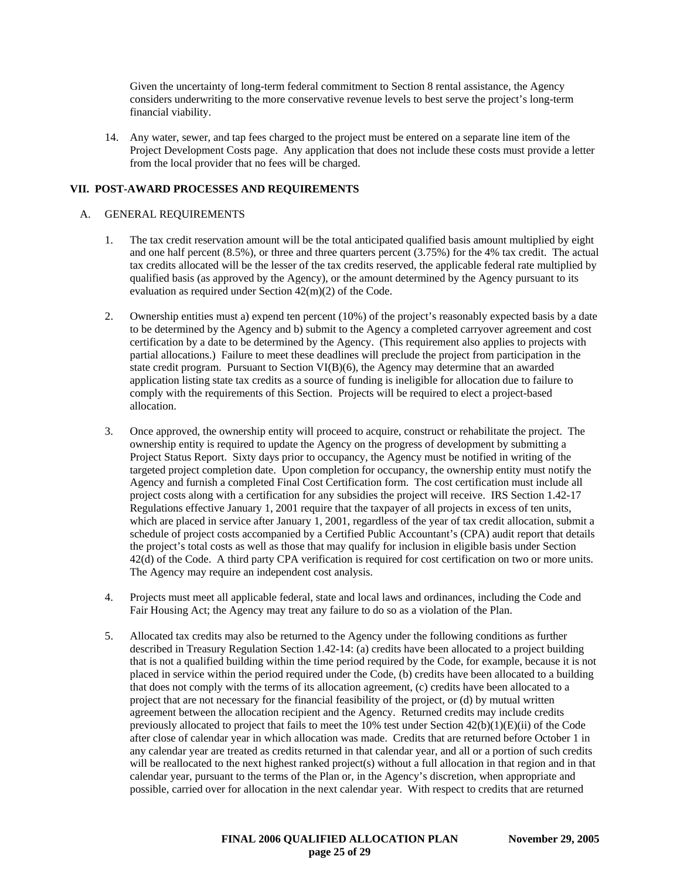Given the uncertainty of long-term federal commitment to Section 8 rental assistance, the Agency considers underwriting to the more conservative revenue levels to best serve the project's long-term financial viability.

14. Any water, sewer, and tap fees charged to the project must be entered on a separate line item of the Project Development Costs page. Any application that does not include these costs must provide a letter from the local provider that no fees will be charged.

## **VII. POST-AWARD PROCESSES AND REQUIREMENTS**

#### A. GENERAL REQUIREMENTS

- 1. The tax credit reservation amount will be the total anticipated qualified basis amount multiplied by eight and one half percent (8.5%), or three and three quarters percent (3.75%) for the 4% tax credit. The actual tax credits allocated will be the lesser of the tax credits reserved, the applicable federal rate multiplied by qualified basis (as approved by the Agency), or the amount determined by the Agency pursuant to its evaluation as required under Section 42(m)(2) of the Code.
- 2. Ownership entities must a) expend ten percent (10%) of the project's reasonably expected basis by a date to be determined by the Agency and b) submit to the Agency a completed carryover agreement and cost certification by a date to be determined by the Agency. (This requirement also applies to projects with partial allocations.) Failure to meet these deadlines will preclude the project from participation in the state credit program. Pursuant to Section VI(B)(6), the Agency may determine that an awarded application listing state tax credits as a source of funding is ineligible for allocation due to failure to comply with the requirements of this Section. Projects will be required to elect a project-based allocation.
- 3. Once approved, the ownership entity will proceed to acquire, construct or rehabilitate the project. The ownership entity is required to update the Agency on the progress of development by submitting a Project Status Report. Sixty days prior to occupancy, the Agency must be notified in writing of the targeted project completion date. Upon completion for occupancy, the ownership entity must notify the Agency and furnish a completed Final Cost Certification form. The cost certification must include all project costs along with a certification for any subsidies the project will receive. IRS Section 1.42-17 Regulations effective January 1, 2001 require that the taxpayer of all projects in excess of ten units, which are placed in service after January 1, 2001, regardless of the year of tax credit allocation, submit a schedule of project costs accompanied by a Certified Public Accountant's (CPA) audit report that details the project's total costs as well as those that may qualify for inclusion in eligible basis under Section 42(d) of the Code. A third party CPA verification is required for cost certification on two or more units. The Agency may require an independent cost analysis.
- 4. Projects must meet all applicable federal, state and local laws and ordinances, including the Code and Fair Housing Act; the Agency may treat any failure to do so as a violation of the Plan.
- 5. Allocated tax credits may also be returned to the Agency under the following conditions as further described in Treasury Regulation Section 1.42-14: (a) credits have been allocated to a project building that is not a qualified building within the time period required by the Code, for example, because it is not placed in service within the period required under the Code, (b) credits have been allocated to a building that does not comply with the terms of its allocation agreement, (c) credits have been allocated to a project that are not necessary for the financial feasibility of the project, or (d) by mutual written agreement between the allocation recipient and the Agency. Returned credits may include credits previously allocated to project that fails to meet the 10% test under Section 42(b)(1)(E)(ii) of the Code after close of calendar year in which allocation was made. Credits that are returned before October 1 in any calendar year are treated as credits returned in that calendar year, and all or a portion of such credits will be reallocated to the next highest ranked project(s) without a full allocation in that region and in that calendar year, pursuant to the terms of the Plan or, in the Agency's discretion, when appropriate and possible, carried over for allocation in the next calendar year. With respect to credits that are returned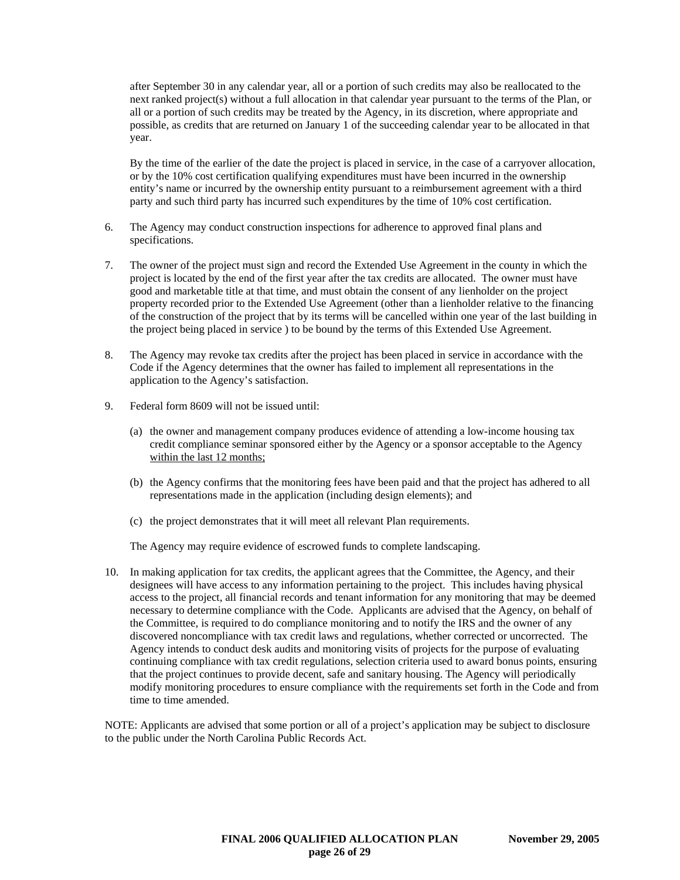after September 30 in any calendar year, all or a portion of such credits may also be reallocated to the next ranked project(s) without a full allocation in that calendar year pursuant to the terms of the Plan, or all or a portion of such credits may be treated by the Agency, in its discretion, where appropriate and possible, as credits that are returned on January 1 of the succeeding calendar year to be allocated in that year.

By the time of the earlier of the date the project is placed in service, in the case of a carryover allocation, or by the 10% cost certification qualifying expenditures must have been incurred in the ownership entity's name or incurred by the ownership entity pursuant to a reimbursement agreement with a third party and such third party has incurred such expenditures by the time of 10% cost certification.

- 6. The Agency may conduct construction inspections for adherence to approved final plans and specifications.
- 7. The owner of the project must sign and record the Extended Use Agreement in the county in which the project is located by the end of the first year after the tax credits are allocated. The owner must have good and marketable title at that time, and must obtain the consent of any lienholder on the project property recorded prior to the Extended Use Agreement (other than a lienholder relative to the financing of the construction of the project that by its terms will be cancelled within one year of the last building in the project being placed in service ) to be bound by the terms of this Extended Use Agreement.
- 8. The Agency may revoke tax credits after the project has been placed in service in accordance with the Code if the Agency determines that the owner has failed to implement all representations in the application to the Agency's satisfaction.
- 9. Federal form 8609 will not be issued until:
	- (a) the owner and management company produces evidence of attending a low-income housing tax credit compliance seminar sponsored either by the Agency or a sponsor acceptable to the Agency within the last 12 months;
	- (b) the Agency confirms that the monitoring fees have been paid and that the project has adhered to all representations made in the application (including design elements); and
	- (c) the project demonstrates that it will meet all relevant Plan requirements.

The Agency may require evidence of escrowed funds to complete landscaping.

10. In making application for tax credits, the applicant agrees that the Committee, the Agency, and their designees will have access to any information pertaining to the project. This includes having physical access to the project, all financial records and tenant information for any monitoring that may be deemed necessary to determine compliance with the Code. Applicants are advised that the Agency, on behalf of the Committee, is required to do compliance monitoring and to notify the IRS and the owner of any discovered noncompliance with tax credit laws and regulations, whether corrected or uncorrected. The Agency intends to conduct desk audits and monitoring visits of projects for the purpose of evaluating continuing compliance with tax credit regulations, selection criteria used to award bonus points, ensuring that the project continues to provide decent, safe and sanitary housing. The Agency will periodically modify monitoring procedures to ensure compliance with the requirements set forth in the Code and from time to time amended.

NOTE: Applicants are advised that some portion or all of a project's application may be subject to disclosure to the public under the North Carolina Public Records Act.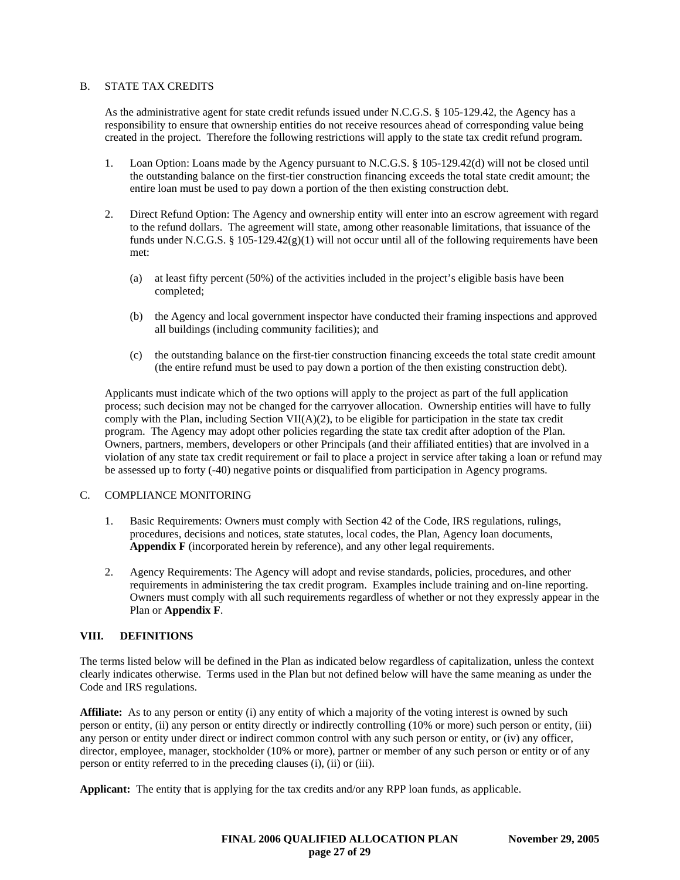## B. STATE TAX CREDITS

As the administrative agent for state credit refunds issued under N.C.G.S. § 105-129.42, the Agency has a responsibility to ensure that ownership entities do not receive resources ahead of corresponding value being created in the project. Therefore the following restrictions will apply to the state tax credit refund program.

- 1. Loan Option: Loans made by the Agency pursuant to N.C.G.S. § 105-129.42(d) will not be closed until the outstanding balance on the first-tier construction financing exceeds the total state credit amount; the entire loan must be used to pay down a portion of the then existing construction debt.
- 2. Direct Refund Option: The Agency and ownership entity will enter into an escrow agreement with regard to the refund dollars. The agreement will state, among other reasonable limitations, that issuance of the funds under N.C.G.S. § 105-129.42 $(g)(1)$  will not occur until all of the following requirements have been met:
	- (a) at least fifty percent (50%) of the activities included in the project's eligible basis have been completed;
	- (b) the Agency and local government inspector have conducted their framing inspections and approved all buildings (including community facilities); and
	- (c) the outstanding balance on the first-tier construction financing exceeds the total state credit amount (the entire refund must be used to pay down a portion of the then existing construction debt).

Applicants must indicate which of the two options will apply to the project as part of the full application process; such decision may not be changed for the carryover allocation. Ownership entities will have to fully comply with the Plan, including Section VII( $A$ )(2), to be eligible for participation in the state tax credit program. The Agency may adopt other policies regarding the state tax credit after adoption of the Plan. Owners, partners, members, developers or other Principals (and their affiliated entities) that are involved in a violation of any state tax credit requirement or fail to place a project in service after taking a loan or refund may be assessed up to forty (-40) negative points or disqualified from participation in Agency programs.

## C. COMPLIANCE MONITORING

- 1. Basic Requirements: Owners must comply with Section 42 of the Code, IRS regulations, rulings, procedures, decisions and notices, state statutes, local codes, the Plan, Agency loan documents, **Appendix F** (incorporated herein by reference), and any other legal requirements.
- 2. Agency Requirements: The Agency will adopt and revise standards, policies, procedures, and other requirements in administering the tax credit program. Examples include training and on-line reporting. Owners must comply with all such requirements regardless of whether or not they expressly appear in the Plan or **Appendix F**.

#### **VIII. DEFINITIONS**

The terms listed below will be defined in the Plan as indicated below regardless of capitalization, unless the context clearly indicates otherwise. Terms used in the Plan but not defined below will have the same meaning as under the Code and IRS regulations.

**Affiliate:** As to any person or entity (i) any entity of which a majority of the voting interest is owned by such person or entity, (ii) any person or entity directly or indirectly controlling (10% or more) such person or entity, (iii) any person or entity under direct or indirect common control with any such person or entity, or (iv) any officer, director, employee, manager, stockholder (10% or more), partner or member of any such person or entity or of any person or entity referred to in the preceding clauses (i), (ii) or (iii).

**Applicant:** The entity that is applying for the tax credits and/or any RPP loan funds, as applicable.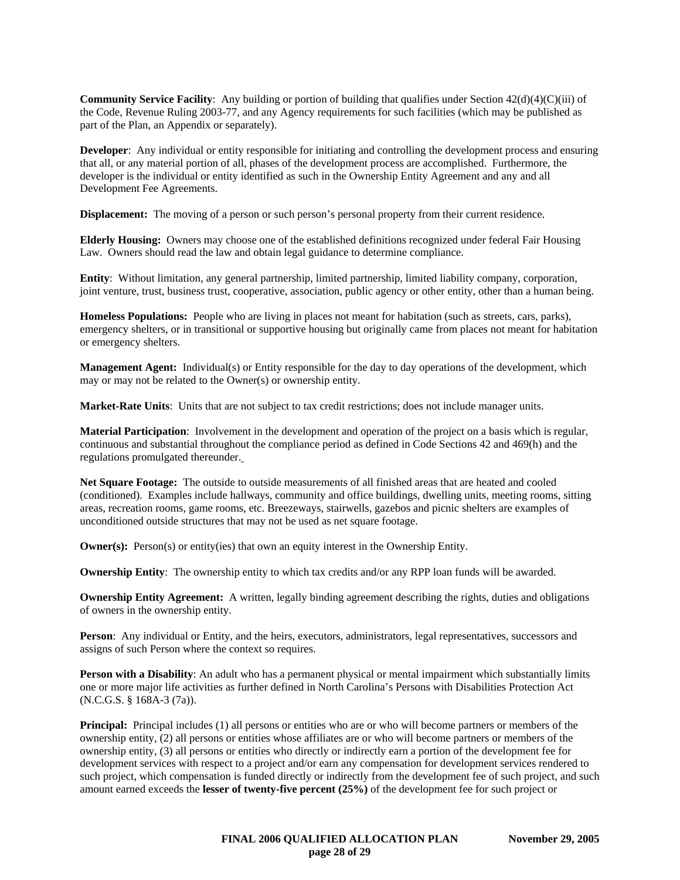**Community Service Facility**: Any building or portion of building that qualifies under Section 42(d)(4)(C)(iii) of the Code, Revenue Ruling 2003-77, and any Agency requirements for such facilities (which may be published as part of the Plan, an Appendix or separately).

**Developer**: Any individual or entity responsible for initiating and controlling the development process and ensuring that all, or any material portion of all, phases of the development process are accomplished. Furthermore, the developer is the individual or entity identified as such in the Ownership Entity Agreement and any and all Development Fee Agreements.

**Displacement:** The moving of a person or such person's personal property from their current residence.

**Elderly Housing:** Owners may choose one of the established definitions recognized under federal Fair Housing Law. Owners should read the law and obtain legal guidance to determine compliance.

**Entity**: Without limitation, any general partnership, limited partnership, limited liability company, corporation, joint venture, trust, business trust, cooperative, association, public agency or other entity, other than a human being.

**Homeless Populations:** People who are living in places not meant for habitation (such as streets, cars, parks), emergency shelters, or in transitional or supportive housing but originally came from places not meant for habitation or emergency shelters.

**Management Agent:** Individual(s) or Entity responsible for the day to day operations of the development, which may or may not be related to the Owner(s) or ownership entity.

**Market-Rate Units**: Units that are not subject to tax credit restrictions; does not include manager units.

**Material Participation**: Involvement in the development and operation of the project on a basis which is regular, continuous and substantial throughout the compliance period as defined in Code Sections 42 and 469(h) and the regulations promulgated thereunder.

**Net Square Footage:** The outside to outside measurements of all finished areas that are heated and cooled (conditioned). Examples include hallways, community and office buildings, dwelling units, meeting rooms, sitting areas, recreation rooms, game rooms, etc. Breezeways, stairwells, gazebos and picnic shelters are examples of unconditioned outside structures that may not be used as net square footage.

**Owner(s):** Person(s) or entity(ies) that own an equity interest in the Ownership Entity.

**Ownership Entity**: The ownership entity to which tax credits and/or any RPP loan funds will be awarded.

**Ownership Entity Agreement:** A written, legally binding agreement describing the rights, duties and obligations of owners in the ownership entity.

Person: Any individual or Entity, and the heirs, executors, administrators, legal representatives, successors and assigns of such Person where the context so requires.

**Person with a Disability**: An adult who has a permanent physical or mental impairment which substantially limits one or more major life activities as further defined in North Carolina's Persons with Disabilities Protection Act (N.C.G.S. § 168A-3 (7a)).

**Principal:** Principal includes (1) all persons or entities who are or who will become partners or members of the ownership entity, (2) all persons or entities whose affiliates are or who will become partners or members of the ownership entity, (3) all persons or entities who directly or indirectly earn a portion of the development fee for development services with respect to a project and/or earn any compensation for development services rendered to such project, which compensation is funded directly or indirectly from the development fee of such project, and such amount earned exceeds the **lesser of twenty-five percent (25%)** of the development fee for such project or